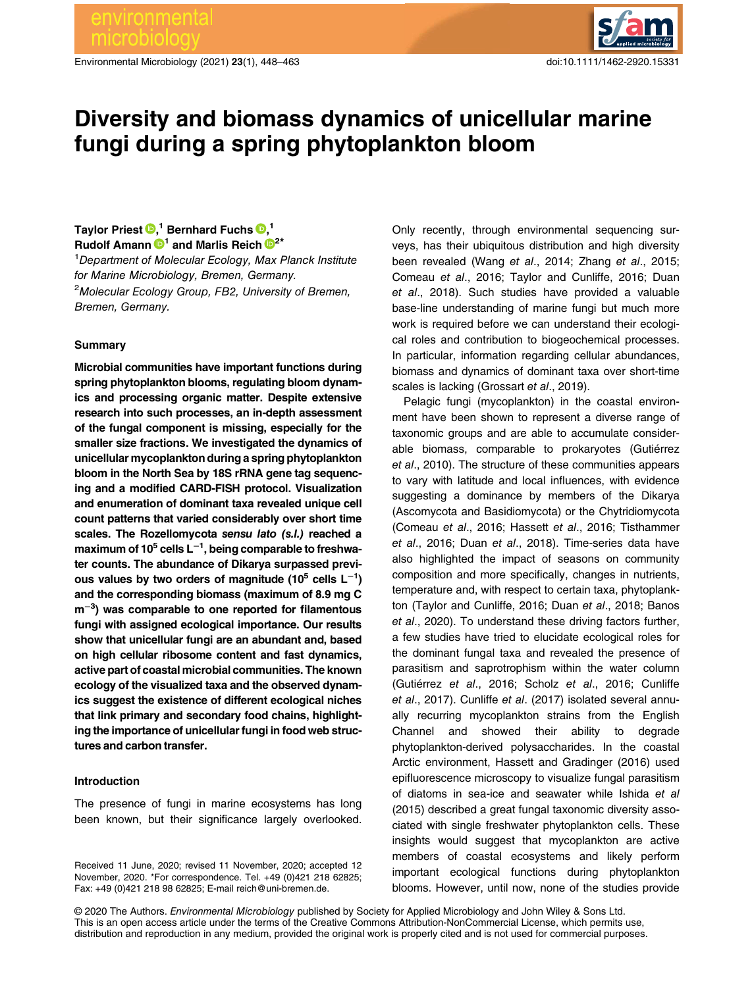Environmental Microbiology (2021) 23(1), 448–463 doi:10.1111/1462-2920.15331



# Diversity and biomass dynamics of unicellular marine fungi during a spring phytoplankton bloom

# Taylor Priest  $\bm{\mathbb{\Theta}}^{,1}_{\text{\tiny{l}}}$  $\bm{\mathbb{\Theta}}^{,1}_{\text{\tiny{l}}}$  $\bm{\mathbb{\Theta}}^{,1}_{\text{\tiny{l}}}$  Bernhard Fuchs  $\bm{\mathbb{\Theta}}^{,1}_{\text{\tiny{l}}}$

Rudolf Amann  $\mathbf{D}^1$  and Marlis Reich  $\mathbf{D}^{2*}$  $\mathbf{D}^{2*}$  $\mathbf{D}^{2*}$ <sup>1</sup>Department of Molecular Ecology, Max Planck Institute for Marine Microbiology, Bremen, Germany. <sup>2</sup>Molecular Ecology Group, FB2, University of Bremen, Bremen, Germany.

#### **Summary**

Microbial communities have important functions during spring phytoplankton blooms, regulating bloom dynamics and processing organic matter. Despite extensive research into such processes, an in-depth assessment of the fungal component is missing, especially for the smaller size fractions. We investigated the dynamics of unicellular mycoplankton during a spring phytoplankton bloom in the North Sea by 18S rRNA gene tag sequencing and a modified CARD-FISH protocol. Visualization and enumeration of dominant taxa revealed unique cell count patterns that varied considerably over short time scales. The Rozellomycota sensu lato (s.l.) reached a maximum of 10<sup>5</sup> cells L<sup>-1</sup>, being comparable to freshwater counts. The abundance of Dikarya surpassed previous values by two orders of magnitude (10<sup>5</sup> cells L<sup>-1</sup>) and the corresponding biomass (maximum of 8.9 mg C m<sup>-3</sup>) was comparable to one reported for filamentous fungi with assigned ecological importance. Our results show that unicellular fungi are an abundant and, based on high cellular ribosome content and fast dynamics, active part of coastal microbial communities. The known ecology of the visualized taxa and the observed dynamics suggest the existence of different ecological niches that link primary and secondary food chains, highlighting the importance of unicellular fungi in food web structures and carbon transfer.

# Introduction

The presence of fungi in marine ecosystems has long been known, but their significance largely overlooked.

Received 11 June, 2020; revised 11 November, 2020; accepted 12 November, 2020. \*For correspondence. Tel. +49 (0)421 218 62825; Fax: +49 (0)421 218 98 62825; E-mail [reich@uni-bremen.de.](mailto:reich@uni-bremen.de)

Only recently, through environmental sequencing surveys, has their ubiquitous distribution and high diversity been revealed (Wang et al., 2014; Zhang et al., 2015; Comeau et al., 2016; Taylor and Cunliffe, 2016; Duan et al., 2018). Such studies have provided a valuable base-line understanding of marine fungi but much more work is required before we can understand their ecological roles and contribution to biogeochemical processes. In particular, information regarding cellular abundances, biomass and dynamics of dominant taxa over short-time scales is lacking (Grossart et al., 2019).

Pelagic fungi (mycoplankton) in the coastal environment have been shown to represent a diverse range of taxonomic groups and are able to accumulate considerable biomass, comparable to prokaryotes (Gutiérrez et al., 2010). The structure of these communities appears to vary with latitude and local influences, with evidence suggesting a dominance by members of the Dikarya (Ascomycota and Basidiomycota) or the Chytridiomycota (Comeau et al., 2016; Hassett et al., 2016; Tisthammer et al., 2016; Duan et al., 2018). Time-series data have also highlighted the impact of seasons on community composition and more specifically, changes in nutrients, temperature and, with respect to certain taxa, phytoplankton (Taylor and Cunliffe, 2016; Duan et al., 2018; Banos et al., 2020). To understand these driving factors further, a few studies have tried to elucidate ecological roles for the dominant fungal taxa and revealed the presence of parasitism and saprotrophism within the water column (Gutiérrez et al., 2016; Scholz et al., 2016; Cunliffe et al., 2017). Cunliffe et al. (2017) isolated several annually recurring mycoplankton strains from the English Channel and showed their ability to degrade phytoplankton-derived polysaccharides. In the coastal Arctic environment, Hassett and Gradinger (2016) used epifluorescence microscopy to visualize fungal parasitism of diatoms in sea-ice and seawater while Ishida et al (2015) described a great fungal taxonomic diversity associated with single freshwater phytoplankton cells. These insights would suggest that mycoplankton are active members of coastal ecosystems and likely perform important ecological functions during phytoplankton blooms. However, until now, none of the studies provide

© 2020 The Authors. Environmental Microbiology published by Society for Applied Microbiology and John Wiley & Sons Ltd. This is an open access article under the terms of the [Creative Commons Attribution-NonCommercial](http://creativecommons.org/licenses/by-nc/4.0/) License, which permits use, distribution and reproduction in any medium, provided the original work is properly cited and is not used for commercial purposes.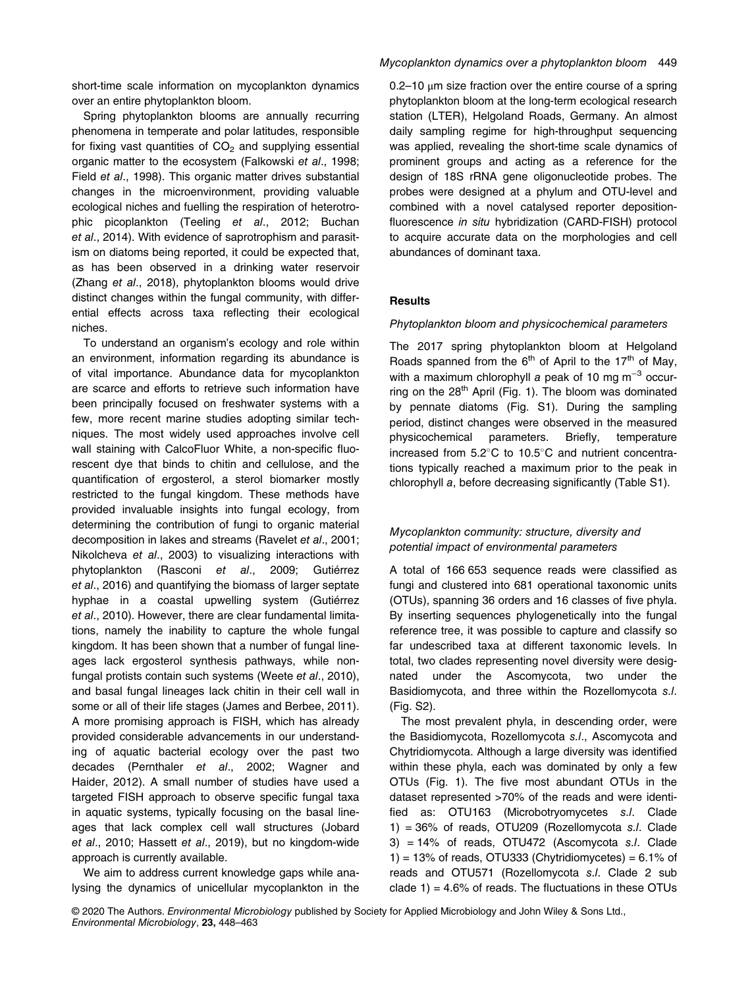short-time scale information on mycoplankton dynamics over an entire phytoplankton bloom.

Spring phytoplankton blooms are annually recurring phenomena in temperate and polar latitudes, responsible for fixing vast quantities of  $CO<sub>2</sub>$  and supplying essential organic matter to the ecosystem (Falkowski et al., 1998; Field et al., 1998). This organic matter drives substantial changes in the microenvironment, providing valuable ecological niches and fuelling the respiration of heterotrophic picoplankton (Teeling et al., 2012; Buchan et al., 2014). With evidence of saprotrophism and parasitism on diatoms being reported, it could be expected that, as has been observed in a drinking water reservoir (Zhang et al., 2018), phytoplankton blooms would drive distinct changes within the fungal community, with differential effects across taxa reflecting their ecological niches.

To understand an organism's ecology and role within an environment, information regarding its abundance is of vital importance. Abundance data for mycoplankton are scarce and efforts to retrieve such information have been principally focused on freshwater systems with a few, more recent marine studies adopting similar techniques. The most widely used approaches involve cell wall staining with CalcoFluor White, a non-specific fluorescent dye that binds to chitin and cellulose, and the quantification of ergosterol, a sterol biomarker mostly restricted to the fungal kingdom. These methods have provided invaluable insights into fungal ecology, from determining the contribution of fungi to organic material decomposition in lakes and streams (Ravelet et al., 2001; Nikolcheva et al., 2003) to visualizing interactions with phytoplankton (Rasconi et al., 2009; Gutiérrez et al., 2016) and quantifying the biomass of larger septate hyphae in a coastal upwelling system (Gutiérrez et al., 2010). However, there are clear fundamental limitations, namely the inability to capture the whole fungal kingdom. It has been shown that a number of fungal lineages lack ergosterol synthesis pathways, while nonfungal protists contain such systems (Weete et al., 2010), and basal fungal lineages lack chitin in their cell wall in some or all of their life stages (James and Berbee, 2011). A more promising approach is FISH, which has already provided considerable advancements in our understanding of aquatic bacterial ecology over the past two decades (Pernthaler et al., 2002; Wagner and Haider, 2012). A small number of studies have used a targeted FISH approach to observe specific fungal taxa in aquatic systems, typically focusing on the basal lineages that lack complex cell wall structures (Jobard et al., 2010; Hassett et al., 2019), but no kingdom-wide approach is currently available.

We aim to address current knowledge gaps while analysing the dynamics of unicellular mycoplankton in the

### Mycoplankton dynamics over a phytoplankton bloom 449

 $0.2-10$   $\mu$ m size fraction over the entire course of a spring phytoplankton bloom at the long-term ecological research station (LTER), Helgoland Roads, Germany. An almost daily sampling regime for high-throughput sequencing was applied, revealing the short-time scale dynamics of prominent groups and acting as a reference for the design of 18S rRNA gene oligonucleotide probes. The probes were designed at a phylum and OTU-level and combined with a novel catalysed reporter depositionfluorescence in situ hybridization (CARD-FISH) protocol to acquire accurate data on the morphologies and cell abundances of dominant taxa.

# **Results**

#### Phytoplankton bloom and physicochemical parameters

The 2017 spring phytoplankton bloom at Helgoland Roads spanned from the  $6<sup>th</sup>$  of April to the 17<sup>th</sup> of May, with a maximum chlorophyll a peak of 10 mg  $m^{-3}$  occurring on the  $28<sup>th</sup>$  April (Fig. 1). The bloom was dominated by pennate diatoms (Fig. S1). During the sampling period, distinct changes were observed in the measured physicochemical parameters. Briefly, temperature increased from  $5.2^{\circ}$ C to  $10.5^{\circ}$ C and nutrient concentrations typically reached a maximum prior to the peak in chlorophyll a, before decreasing significantly (Table S1).

# Mycoplankton community: structure, diversity and potential impact of environmental parameters

A total of 166 653 sequence reads were classified as fungi and clustered into 681 operational taxonomic units (OTUs), spanning 36 orders and 16 classes of five phyla. By inserting sequences phylogenetically into the fungal reference tree, it was possible to capture and classify so far undescribed taxa at different taxonomic levels. In total, two clades representing novel diversity were designated under the Ascomycota, two under the Basidiomycota, and three within the Rozellomycota s.l. (Fig. S2).

The most prevalent phyla, in descending order, were the Basidiomycota, Rozellomycota s.l., Ascomycota and Chytridiomycota. Although a large diversity was identified within these phyla, each was dominated by only a few OTUs (Fig. 1). The five most abundant OTUs in the dataset represented >70% of the reads and were identified as: OTU163 (Microbotryomycetes s.l. Clade 1) = 36% of reads, OTU209 (Rozellomycota s.l. Clade 3) = 14% of reads, OTU472 (Ascomycota s.l. Clade  $1) = 13%$  of reads, OTU333 (Chytridiomycetes) = 6.1% of reads and OTU571 (Rozellomycota s.l. Clade 2 sub clade  $1$ ) = 4.6% of reads. The fluctuations in these OTUs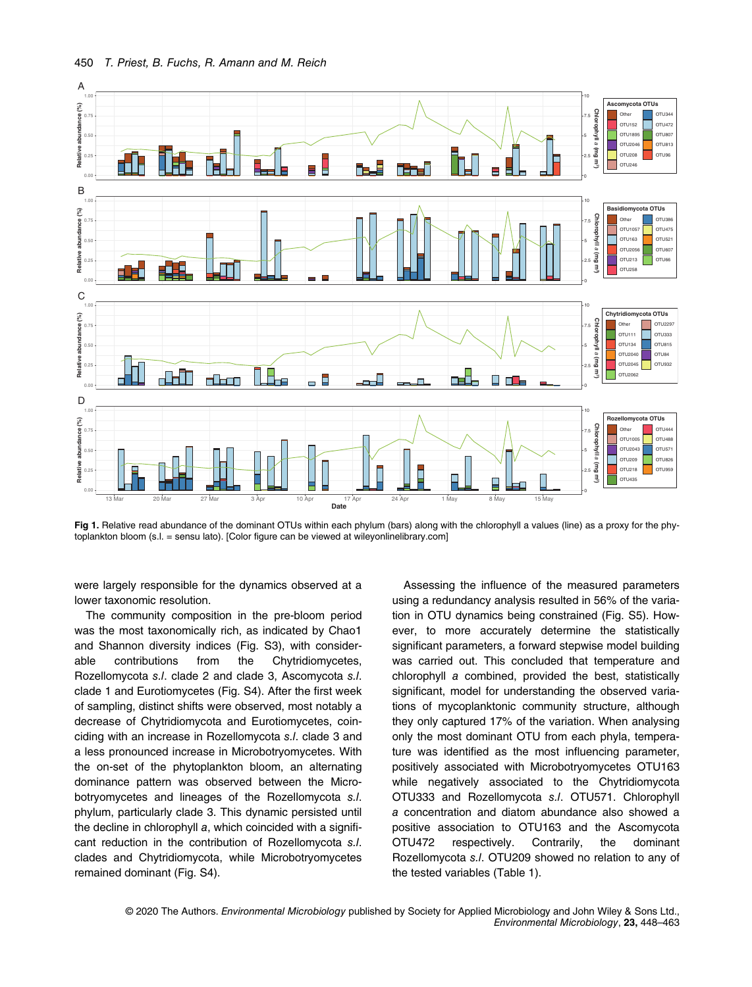

Fig 1. Relative read abundance of the dominant OTUs within each phylum (bars) along with the chlorophyll a values (line) as a proxy for the phytoplankton bloom (s.l. = sensu lato). [Color figure can be viewed at [wileyonlinelibrary.com](http://wileyonlinelibrary.com)]

were largely responsible for the dynamics observed at a lower taxonomic resolution.

The community composition in the pre-bloom period was the most taxonomically rich, as indicated by Chao1 and Shannon diversity indices (Fig. S3), with considerable contributions from the Chytridiomycetes, Rozellomycota s.l. clade 2 and clade 3, Ascomycota s.l. clade 1 and Eurotiomycetes (Fig. S4). After the first week of sampling, distinct shifts were observed, most notably a decrease of Chytridiomycota and Eurotiomycetes, coinciding with an increase in Rozellomycota s.l. clade 3 and a less pronounced increase in Microbotryomycetes. With the on-set of the phytoplankton bloom, an alternating dominance pattern was observed between the Microbotryomycetes and lineages of the Rozellomycota s.l. phylum, particularly clade 3. This dynamic persisted until the decline in chlorophyll a, which coincided with a significant reduction in the contribution of Rozellomycota s.l. clades and Chytridiomycota, while Microbotryomycetes remained dominant (Fig. S4).

Assessing the influence of the measured parameters using a redundancy analysis resulted in 56% of the variation in OTU dynamics being constrained (Fig. S5). However, to more accurately determine the statistically significant parameters, a forward stepwise model building was carried out. This concluded that temperature and chlorophyll a combined, provided the best, statistically significant, model for understanding the observed variations of mycoplanktonic community structure, although they only captured 17% of the variation. When analysing only the most dominant OTU from each phyla, temperature was identified as the most influencing parameter, positively associated with Microbotryomycetes OTU163 while negatively associated to the Chytridiomycota OTU333 and Rozellomycota s.l. OTU571. Chlorophyll a concentration and diatom abundance also showed a positive association to OTU163 and the Ascomycota OTU472 respectively. Contrarily, the dominant Rozellomycota s.l. OTU209 showed no relation to any of the tested variables (Table 1).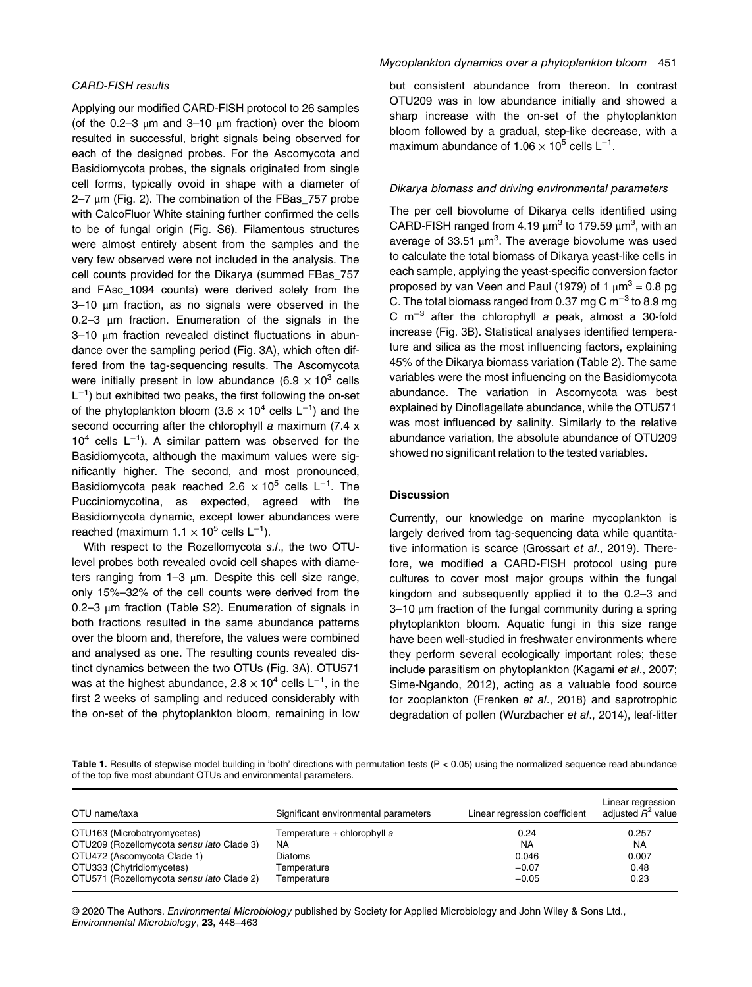# CARD-FISH results

Applying our modified CARD-FISH protocol to 26 samples (of the  $0.2-3 \mu m$  and  $3-10 \mu m$  fraction) over the bloom resulted in successful, bright signals being observed for each of the designed probes. For the Ascomycota and Basidiomycota probes, the signals originated from single cell forms, typically ovoid in shape with a diameter of  $2-7$  μm (Fig. 2). The combination of the FBas\_757 probe with CalcoFluor White staining further confirmed the cells to be of fungal origin (Fig. S6). Filamentous structures were almost entirely absent from the samples and the very few observed were not included in the analysis. The cell counts provided for the Dikarya (summed FBas\_757 and FAsc\_1094 counts) were derived solely from the 3–10 μm fraction, as no signals were observed in the 0.2–3 μm fraction. Enumeration of the signals in the 3–10 μm fraction revealed distinct fluctuations in abundance over the sampling period (Fig. 3A), which often differed from the tag-sequencing results. The Ascomycota were initially present in low abundance (6.9  $\times$  10<sup>3</sup> cells L<sup>-1</sup>) but exhibited two peaks, the first following the on-set of the phytoplankton bloom (3.6  $\times$  10<sup>4</sup> cells L<sup>-1</sup>) and the second occurring after the chlorophyll a maximum (7.4 x  $10<sup>4</sup>$  cells L<sup>-1</sup>). A similar pattern was observed for the Basidiomycota, although the maximum values were significantly higher. The second, and most pronounced, Basidiomycota peak reached 2.6  $\times$  10<sup>5</sup> cells L<sup>-1</sup>. The Pucciniomycotina, as expected, agreed with the Basidiomycota dynamic, except lower abundances were reached (maximum  $1.1 \times 10^5$  cells L<sup>-1</sup>).

With respect to the Rozellomycota s.l., the two OTUlevel probes both revealed ovoid cell shapes with diameters ranging from 1–3 μm. Despite this cell size range, only 15%–32% of the cell counts were derived from the 0.2–3 μm fraction (Table S2). Enumeration of signals in both fractions resulted in the same abundance patterns over the bloom and, therefore, the values were combined and analysed as one. The resulting counts revealed distinct dynamics between the two OTUs (Fig. 3A). OTU571 was at the highest abundance, 2.8  $\times$  10<sup>4</sup> cells L<sup>-1</sup>, in the first 2 weeks of sampling and reduced considerably with the on-set of the phytoplankton bloom, remaining in low

but consistent abundance from thereon. In contrast OTU209 was in low abundance initially and showed a sharp increase with the on-set of the phytoplankton bloom followed by a gradual, step-like decrease, with a maximum abundance of  $1.06 \times 10^5$  cells L<sup>-1</sup>.

#### Dikarya biomass and driving environmental parameters

The per cell biovolume of Dikarya cells identified using CARD-FISH ranged from 4.19  $\mu$ m<sup>3</sup> to 179.59  $\mu$ m<sup>3</sup>, with an average of 33.51  $\mu$ m<sup>3</sup>. The average biovolume was used to calculate the total biomass of Dikarya yeast-like cells in each sample, applying the yeast-specific conversion factor proposed by van Veen and Paul (1979) of 1  $\mu$ m<sup>3</sup> = 0.8 pg C. The total biomass ranged from 0.37 mg C m<sup>-3</sup> to 8.9 mg C m−<sup>3</sup> after the chlorophyll a peak, almost a 30-fold increase (Fig. 3B). Statistical analyses identified temperature and silica as the most influencing factors, explaining 45% of the Dikarya biomass variation (Table 2). The same variables were the most influencing on the Basidiomycota abundance. The variation in Ascomycota was best explained by Dinoflagellate abundance, while the OTU571 was most influenced by salinity. Similarly to the relative abundance variation, the absolute abundance of OTU209 showed no significant relation to the tested variables.

#### **Discussion**

Currently, our knowledge on marine mycoplankton is largely derived from tag-sequencing data while quantitative information is scarce (Grossart et al., 2019). Therefore, we modified a CARD-FISH protocol using pure cultures to cover most major groups within the fungal kingdom and subsequently applied it to the 0.2–3 and 3–10 μm fraction of the fungal community during a spring phytoplankton bloom. Aquatic fungi in this size range have been well-studied in freshwater environments where they perform several ecologically important roles; these include parasitism on phytoplankton (Kagami et al., 2007; Sime-Ngando, 2012), acting as a valuable food source for zooplankton (Frenken et al., 2018) and saprotrophic degradation of pollen (Wurzbacher et al., 2014), leaf-litter

Table 1. Results of stepwise model building in 'both' directions with permutation tests (P < 0.05) using the normalized sequence read abundance of the top five most abundant OTUs and environmental parameters.

| OTU name/taxa                             | Significant environmental parameters | Linear regression coefficient | Linear regression<br>adjusted R <sup>2</sup> value |
|-------------------------------------------|--------------------------------------|-------------------------------|----------------------------------------------------|
| OTU163 (Microbotryomycetes)               | Temperature + chlorophyll a          | 0.24                          | 0.257                                              |
| OTU209 (Rozellomycota sensu lato Clade 3) | NA                                   | NA                            | NA                                                 |
| OTU472 (Ascomycota Clade 1)               | <b>Diatoms</b>                       | 0.046                         | 0.007                                              |
| OTU333 (Chytridiomycetes)                 | Temperature                          | $-0.07$                       | 0.48                                               |
| OTU571 (Rozellomycota sensu lato Clade 2) | Temperature                          | $-0.05$                       | 0.23                                               |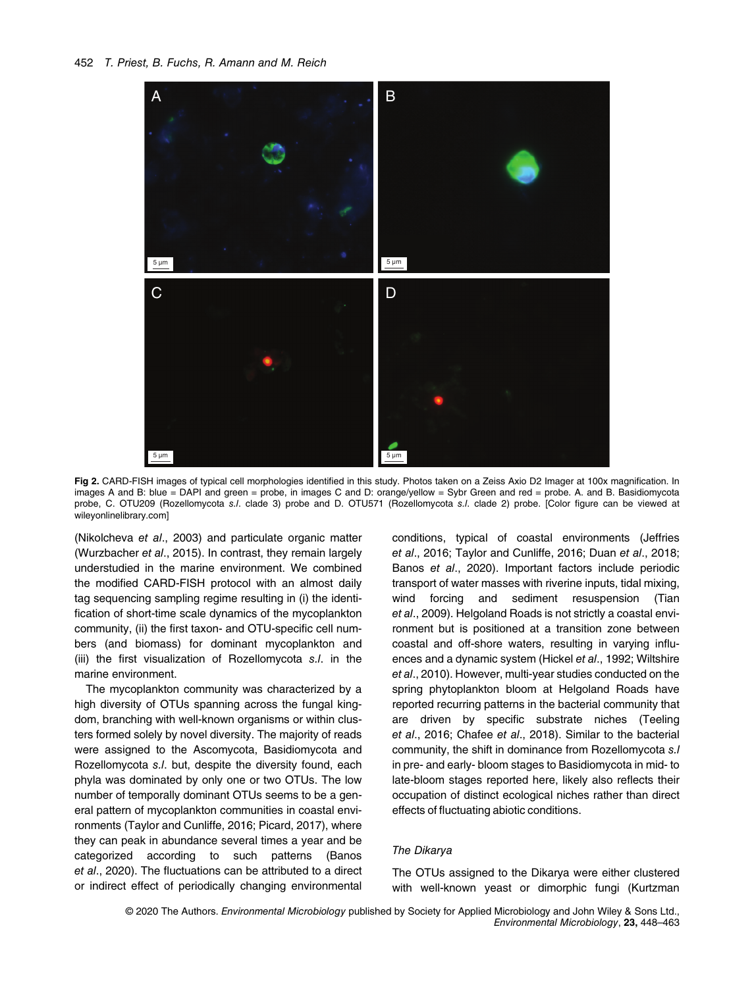

Fig 2. CARD-FISH images of typical cell morphologies identified in this study. Photos taken on a Zeiss Axio D2 Imager at 100x magnification. In images A and B: blue = DAPI and green = probe, in images C and D: orange/yellow = Sybr Green and red = probe. A. and B. Basidiomycota probe, C. OTU209 (Rozellomycota s./. clade 3) probe and D. OTU571 (Rozellomycota s./. clade 2) probe. [Color figure can be viewed at [wileyonlinelibrary.com\]](http://wileyonlinelibrary.com)

(Nikolcheva et al., 2003) and particulate organic matter (Wurzbacher et al., 2015). In contrast, they remain largely understudied in the marine environment. We combined the modified CARD-FISH protocol with an almost daily tag sequencing sampling regime resulting in (i) the identification of short-time scale dynamics of the mycoplankton community, (ii) the first taxon- and OTU-specific cell numbers (and biomass) for dominant mycoplankton and (iii) the first visualization of Rozellomycota s.l. in the marine environment.

The mycoplankton community was characterized by a high diversity of OTUs spanning across the fungal kingdom, branching with well-known organisms or within clusters formed solely by novel diversity. The majority of reads were assigned to the Ascomycota, Basidiomycota and Rozellomycota s.l. but, despite the diversity found, each phyla was dominated by only one or two OTUs. The low number of temporally dominant OTUs seems to be a general pattern of mycoplankton communities in coastal environments (Taylor and Cunliffe, 2016; Picard, 2017), where they can peak in abundance several times a year and be categorized according to such patterns (Banos et al., 2020). The fluctuations can be attributed to a direct or indirect effect of periodically changing environmental conditions, typical of coastal environments (Jeffries et al., 2016; Taylor and Cunliffe, 2016; Duan et al., 2018; Banos et al., 2020). Important factors include periodic transport of water masses with riverine inputs, tidal mixing, wind forcing and sediment resuspension (Tian et al., 2009). Helgoland Roads is not strictly a coastal environment but is positioned at a transition zone between coastal and off-shore waters, resulting in varying influences and a dynamic system (Hickel et al., 1992; Wiltshire et al., 2010). However, multi-year studies conducted on the spring phytoplankton bloom at Helgoland Roads have reported recurring patterns in the bacterial community that are driven by specific substrate niches (Teeling et al., 2016; Chafee et al., 2018). Similar to the bacterial community, the shift in dominance from Rozellomycota s.l in pre- and early- bloom stages to Basidiomycota in mid- to late-bloom stages reported here, likely also reflects their occupation of distinct ecological niches rather than direct effects of fluctuating abiotic conditions.

#### The Dikarya

The OTUs assigned to the Dikarya were either clustered with well-known yeast or dimorphic fungi (Kurtzman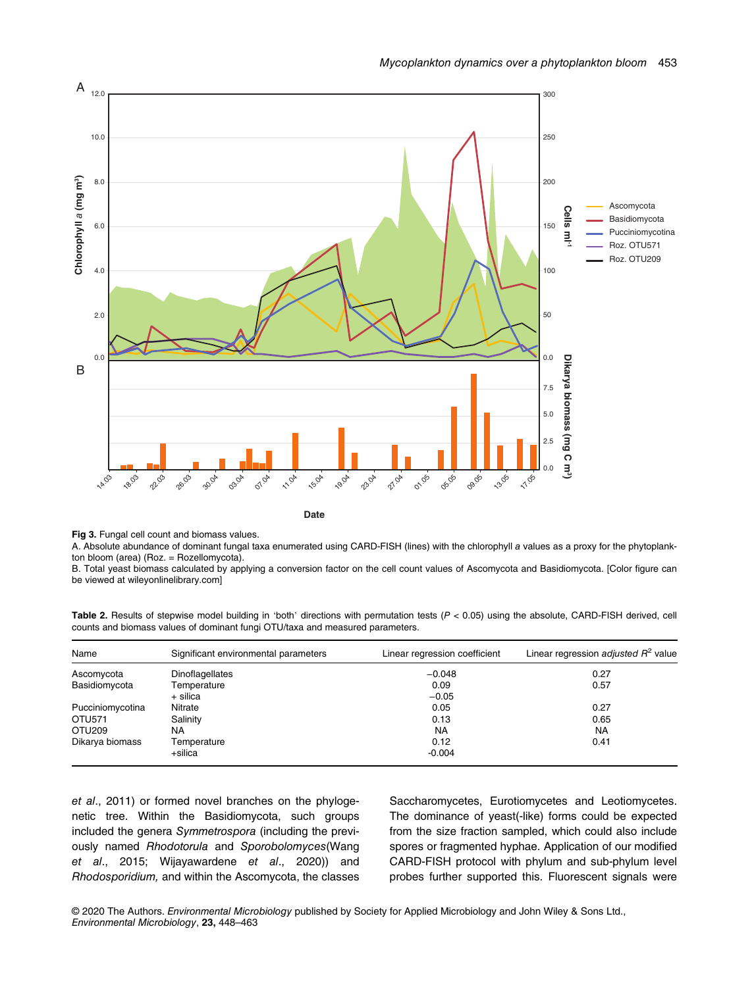

**Date**

Fig 3. Fungal cell count and biomass values.

A. Absolute abundance of dominant fungal taxa enumerated using CARD-FISH (lines) with the chlorophyll a values as a proxy for the phytoplankton bloom (area) (Roz. = Rozellomycota).

B. Total yeast biomass calculated by applying a conversion factor on the cell count values of Ascomycota and Basidiomycota. [Color figure can be viewed at [wileyonlinelibrary.com\]](http://wileyonlinelibrary.com)

Table 2. Results of stepwise model building in 'both' directions with permutation tests  $(P < 0.05)$  using the absolute, CARD-FISH derived, cell counts and biomass values of dominant fungi OTU/taxa and measured parameters.

| Name               | Significant environmental parameters | Linear regression coefficient | Linear regression adjusted $R^2$ value |
|--------------------|--------------------------------------|-------------------------------|----------------------------------------|
| Ascomycota         | <b>Dinoflagellates</b>               | $-0.048$                      | 0.27                                   |
| Basidiomycota      | Temperature                          | 0.09                          | 0.57                                   |
|                    | + silica                             | $-0.05$                       |                                        |
| Pucciniomycotina   | Nitrate                              | 0.05                          | 0.27                                   |
| OTU571             | Salinity                             | 0.13                          | 0.65                                   |
| OTU <sub>209</sub> | NA                                   | <b>NA</b>                     | <b>NA</b>                              |
| Dikarya biomass    | Temperature                          | 0.12                          | 0.41                                   |
|                    | +silica                              | $-0.004$                      |                                        |

et al., 2011) or formed novel branches on the phylogenetic tree. Within the Basidiomycota, such groups included the genera Symmetrospora (including the previously named Rhodotorula and Sporobolomyces(Wang et al., 2015; Wijayawardene et al., 2020)) and Rhodosporidium, and within the Ascomycota, the classes Saccharomycetes, Eurotiomycetes and Leotiomycetes. The dominance of yeast(-like) forms could be expected from the size fraction sampled, which could also include spores or fragmented hyphae. Application of our modified CARD-FISH protocol with phylum and sub-phylum level probes further supported this. Fluorescent signals were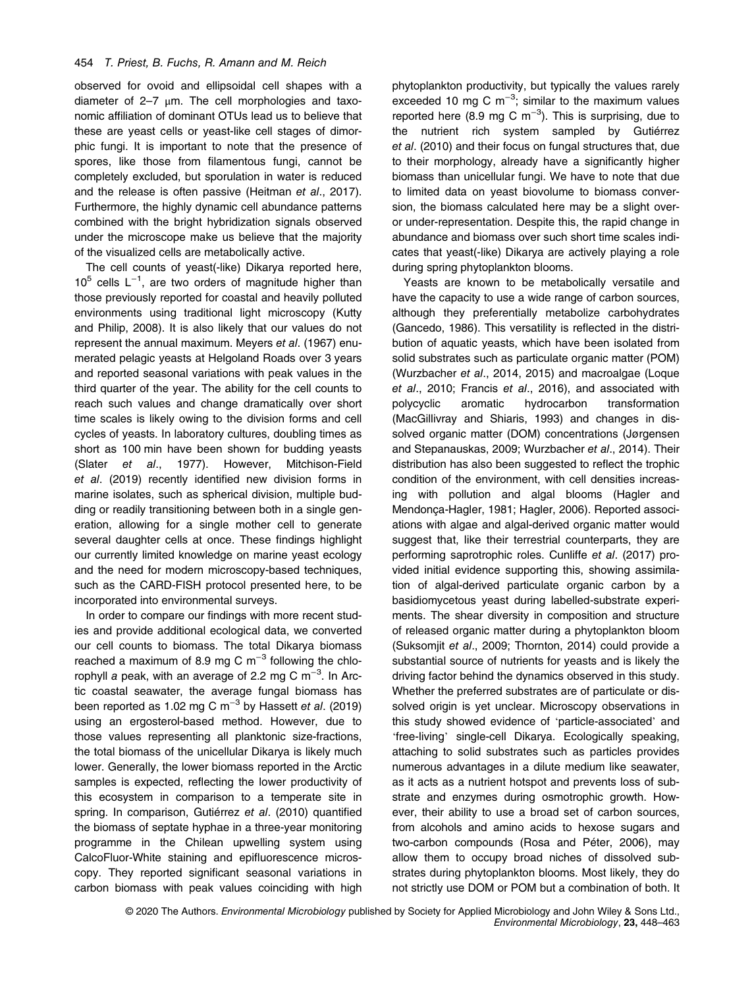observed for ovoid and ellipsoidal cell shapes with a diameter of  $2-7$   $\mu$ m. The cell morphologies and taxonomic affiliation of dominant OTUs lead us to believe that these are yeast cells or yeast-like cell stages of dimorphic fungi. It is important to note that the presence of spores, like those from filamentous fungi, cannot be completely excluded, but sporulation in water is reduced and the release is often passive (Heitman et al., 2017). Furthermore, the highly dynamic cell abundance patterns combined with the bright hybridization signals observed under the microscope make us believe that the majority of the visualized cells are metabolically active.

The cell counts of yeast(-like) Dikarya reported here, 10<sup>5</sup> cells L<sup>-1</sup>, are two orders of magnitude higher than those previously reported for coastal and heavily polluted environments using traditional light microscopy (Kutty and Philip, 2008). It is also likely that our values do not represent the annual maximum. Meyers et al. (1967) enumerated pelagic yeasts at Helgoland Roads over 3 years and reported seasonal variations with peak values in the third quarter of the year. The ability for the cell counts to reach such values and change dramatically over short time scales is likely owing to the division forms and cell cycles of yeasts. In laboratory cultures, doubling times as short as 100 min have been shown for budding yeasts (Slater et al., 1977). However, Mitchison-Field et al. (2019) recently identified new division forms in marine isolates, such as spherical division, multiple budding or readily transitioning between both in a single generation, allowing for a single mother cell to generate several daughter cells at once. These findings highlight our currently limited knowledge on marine yeast ecology and the need for modern microscopy-based techniques, such as the CARD-FISH protocol presented here, to be incorporated into environmental surveys.

In order to compare our findings with more recent studies and provide additional ecological data, we converted our cell counts to biomass. The total Dikarya biomass reached a maximum of 8.9 mg C m<sup>-3</sup> following the chlorophyll a peak, with an average of 2.2 mg C m<sup>-3</sup>. In Arctic coastal seawater, the average fungal biomass has been reported as 1.02 mg C m<sup>-3</sup> by Hassett et al. (2019) using an ergosterol-based method. However, due to those values representing all planktonic size-fractions, the total biomass of the unicellular Dikarya is likely much lower. Generally, the lower biomass reported in the Arctic samples is expected, reflecting the lower productivity of this ecosystem in comparison to a temperate site in spring. In comparison, Gutiérrez et al. (2010) quantified the biomass of septate hyphae in a three-year monitoring programme in the Chilean upwelling system using CalcoFluor-White staining and epifluorescence microscopy. They reported significant seasonal variations in carbon biomass with peak values coinciding with high phytoplankton productivity, but typically the values rarely exceeded 10 mg C  $m^{-3}$ ; similar to the maximum values reported here (8.9 mg C m<sup>-3</sup>). This is surprising, due to the nutrient rich system sampled by Gutiérrez et al. (2010) and their focus on fungal structures that, due to their morphology, already have a significantly higher biomass than unicellular fungi. We have to note that due to limited data on yeast biovolume to biomass conversion, the biomass calculated here may be a slight overor under-representation. Despite this, the rapid change in abundance and biomass over such short time scales indicates that yeast(-like) Dikarya are actively playing a role during spring phytoplankton blooms.

Yeasts are known to be metabolically versatile and have the capacity to use a wide range of carbon sources, although they preferentially metabolize carbohydrates (Gancedo, 1986). This versatility is reflected in the distribution of aquatic yeasts, which have been isolated from solid substrates such as particulate organic matter (POM) (Wurzbacher et al., 2014, 2015) and macroalgae (Loque et al., 2010; Francis et al., 2016), and associated with polycyclic aromatic hydrocarbon transformation (MacGillivray and Shiaris, 1993) and changes in dissolved organic matter (DOM) concentrations (Jørgensen and Stepanauskas, 2009; Wurzbacher et al., 2014). Their distribution has also been suggested to reflect the trophic condition of the environment, with cell densities increasing with pollution and algal blooms (Hagler and Mendonça-Hagler, 1981; Hagler, 2006). Reported associations with algae and algal-derived organic matter would suggest that, like their terrestrial counterparts, they are performing saprotrophic roles. Cunliffe et al. (2017) provided initial evidence supporting this, showing assimilation of algal-derived particulate organic carbon by a basidiomycetous yeast during labelled-substrate experiments. The shear diversity in composition and structure of released organic matter during a phytoplankton bloom (Suksomjit et al., 2009; Thornton, 2014) could provide a substantial source of nutrients for yeasts and is likely the driving factor behind the dynamics observed in this study. Whether the preferred substrates are of particulate or dissolved origin is yet unclear. Microscopy observations in this study showed evidence of 'particle-associated' and 'free-living' single-cell Dikarya. Ecologically speaking, attaching to solid substrates such as particles provides numerous advantages in a dilute medium like seawater, as it acts as a nutrient hotspot and prevents loss of substrate and enzymes during osmotrophic growth. However, their ability to use a broad set of carbon sources, from alcohols and amino acids to hexose sugars and two-carbon compounds (Rosa and Péter, 2006), may allow them to occupy broad niches of dissolved substrates during phytoplankton blooms. Most likely, they do not strictly use DOM or POM but a combination of both. It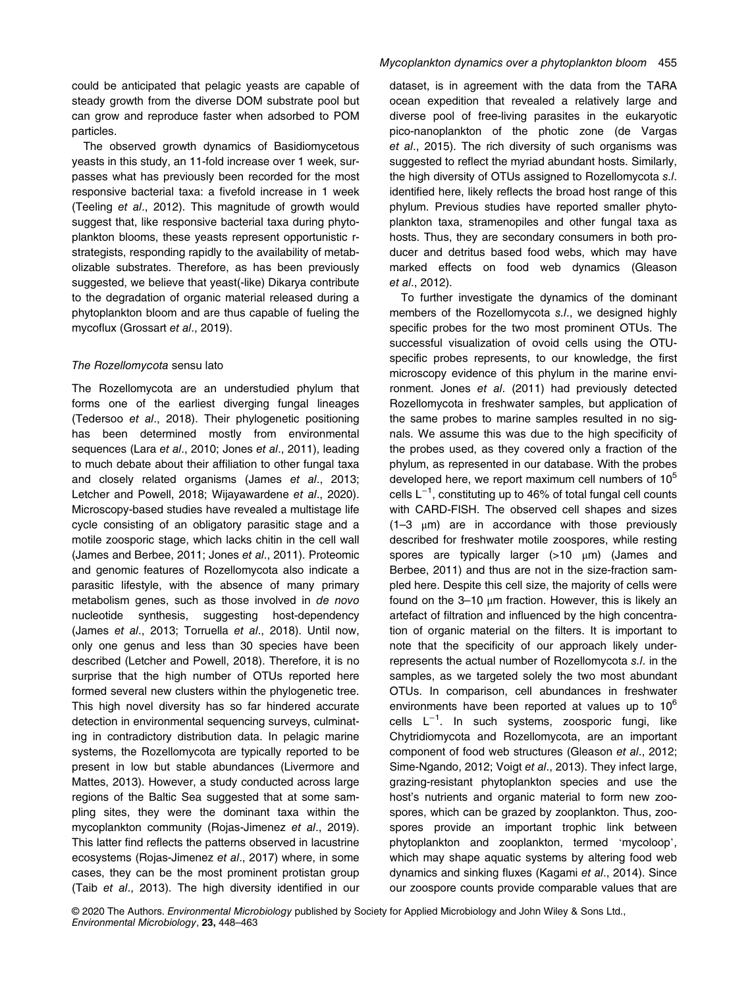could be anticipated that pelagic yeasts are capable of steady growth from the diverse DOM substrate pool but can grow and reproduce faster when adsorbed to POM particles.

The observed growth dynamics of Basidiomycetous yeasts in this study, an 11-fold increase over 1 week, surpasses what has previously been recorded for the most responsive bacterial taxa: a fivefold increase in 1 week (Teeling et al., 2012). This magnitude of growth would suggest that, like responsive bacterial taxa during phytoplankton blooms, these yeasts represent opportunistic rstrategists, responding rapidly to the availability of metabolizable substrates. Therefore, as has been previously suggested, we believe that yeast(-like) Dikarya contribute to the degradation of organic material released during a phytoplankton bloom and are thus capable of fueling the mycoflux (Grossart et al., 2019).

#### The Rozellomycota sensu lato

The Rozellomycota are an understudied phylum that forms one of the earliest diverging fungal lineages (Tedersoo et al., 2018). Their phylogenetic positioning has been determined mostly from environmental sequences (Lara et al., 2010; Jones et al., 2011), leading to much debate about their affiliation to other fungal taxa and closely related organisms (James et al., 2013; Letcher and Powell, 2018; Wijayawardene et al., 2020). Microscopy-based studies have revealed a multistage life cycle consisting of an obligatory parasitic stage and a motile zoosporic stage, which lacks chitin in the cell wall (James and Berbee, 2011; Jones et al., 2011). Proteomic and genomic features of Rozellomycota also indicate a parasitic lifestyle, with the absence of many primary metabolism genes, such as those involved in de novo nucleotide synthesis, suggesting host-dependency (James et al., 2013; Torruella et al., 2018). Until now, only one genus and less than 30 species have been described (Letcher and Powell, 2018). Therefore, it is no surprise that the high number of OTUs reported here formed several new clusters within the phylogenetic tree. This high novel diversity has so far hindered accurate detection in environmental sequencing surveys, culminating in contradictory distribution data. In pelagic marine systems, the Rozellomycota are typically reported to be present in low but stable abundances (Livermore and Mattes, 2013). However, a study conducted across large regions of the Baltic Sea suggested that at some sampling sites, they were the dominant taxa within the mycoplankton community (Rojas-Jimenez et al., 2019). This latter find reflects the patterns observed in lacustrine ecosystems (Rojas-Jimenez et al., 2017) where, in some cases, they can be the most prominent protistan group (Taib et al., 2013). The high diversity identified in our

dataset, is in agreement with the data from the TARA ocean expedition that revealed a relatively large and diverse pool of free-living parasites in the eukaryotic pico-nanoplankton of the photic zone (de Vargas et al., 2015). The rich diversity of such organisms was suggested to reflect the myriad abundant hosts. Similarly, the high diversity of OTUs assigned to Rozellomycota s.l. identified here, likely reflects the broad host range of this phylum. Previous studies have reported smaller phytoplankton taxa, stramenopiles and other fungal taxa as hosts. Thus, they are secondary consumers in both producer and detritus based food webs, which may have marked effects on food web dynamics (Gleason et al., 2012).

To further investigate the dynamics of the dominant members of the Rozellomycota s.l., we designed highly specific probes for the two most prominent OTUs. The successful visualization of ovoid cells using the OTUspecific probes represents, to our knowledge, the first microscopy evidence of this phylum in the marine environment. Jones et al. (2011) had previously detected Rozellomycota in freshwater samples, but application of the same probes to marine samples resulted in no signals. We assume this was due to the high specificity of the probes used, as they covered only a fraction of the phylum, as represented in our database. With the probes developed here, we report maximum cell numbers of  $10<sup>5</sup>$ cells L−<sup>1</sup> , constituting up to 46% of total fungal cell counts with CARD-FISH. The observed cell shapes and sizes  $(1-3 \mu m)$  are in accordance with those previously described for freshwater motile zoospores, while resting spores are typically larger (>10 μm) (James and Berbee, 2011) and thus are not in the size-fraction sampled here. Despite this cell size, the majority of cells were found on the  $3-10 \mu m$  fraction. However, this is likely an artefact of filtration and influenced by the high concentration of organic material on the filters. It is important to note that the specificity of our approach likely underrepresents the actual number of Rozellomycota s.l. in the samples, as we targeted solely the two most abundant OTUs. In comparison, cell abundances in freshwater environments have been reported at values up to  $10^6$ cells L<sup>-1</sup>. In such systems, zoosporic fungi, like Chytridiomycota and Rozellomycota, are an important component of food web structures (Gleason et al., 2012; Sime-Ngando, 2012; Voigt et al., 2013). They infect large, grazing-resistant phytoplankton species and use the host's nutrients and organic material to form new zoospores, which can be grazed by zooplankton. Thus, zoospores provide an important trophic link between phytoplankton and zooplankton, termed 'mycoloop', which may shape aquatic systems by altering food web dynamics and sinking fluxes (Kagami et al., 2014). Since our zoospore counts provide comparable values that are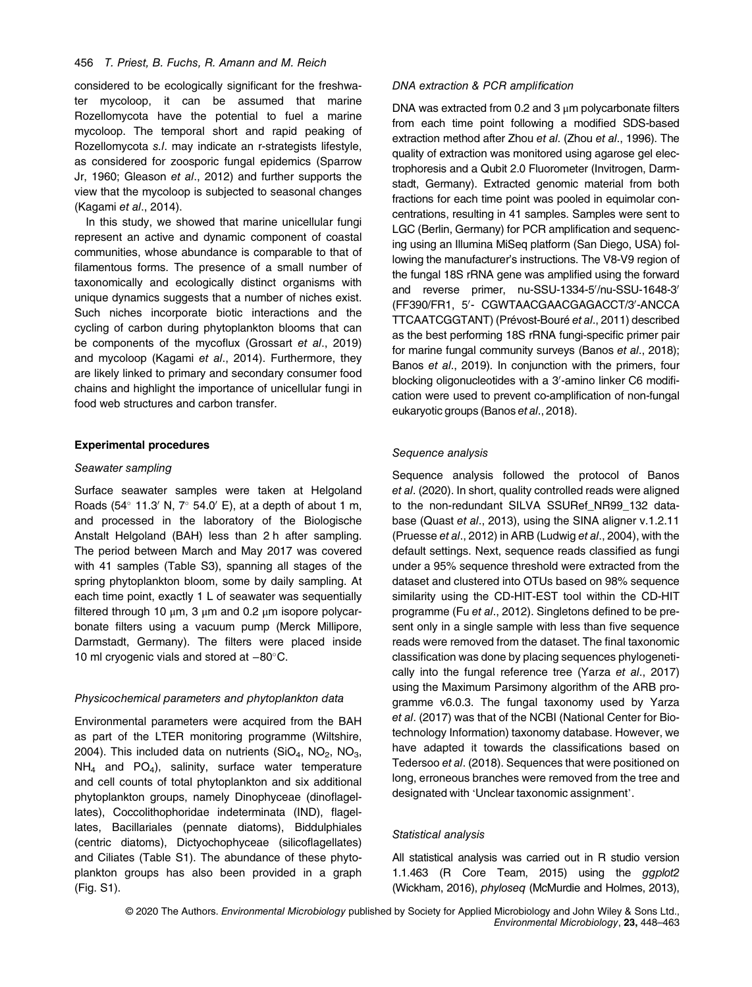# 456 T. Priest, B. Fuchs, R. Amann and M. Reich

considered to be ecologically significant for the freshwater mycoloop, it can be assumed that marine Rozellomycota have the potential to fuel a marine mycoloop. The temporal short and rapid peaking of Rozellomycota s.l. may indicate an r-strategists lifestyle, as considered for zoosporic fungal epidemics (Sparrow Jr, 1960; Gleason et al., 2012) and further supports the view that the mycoloop is subjected to seasonal changes (Kagami et al., 2014).

In this study, we showed that marine unicellular fungi represent an active and dynamic component of coastal communities, whose abundance is comparable to that of filamentous forms. The presence of a small number of taxonomically and ecologically distinct organisms with unique dynamics suggests that a number of niches exist. Such niches incorporate biotic interactions and the cycling of carbon during phytoplankton blooms that can be components of the mycoflux (Grossart et al., 2019) and mycoloop (Kagami et al., 2014). Furthermore, they are likely linked to primary and secondary consumer food chains and highlight the importance of unicellular fungi in food web structures and carbon transfer.

# Experimental procedures

#### Seawater sampling

Surface seawater samples were taken at Helgoland Roads (54 $\degree$  11.3' N, 7 $\degree$  54.0' E), at a depth of about 1 m, and processed in the laboratory of the Biologische Anstalt Helgoland (BAH) less than 2 h after sampling. The period between March and May 2017 was covered with 41 samples (Table S3), spanning all stages of the spring phytoplankton bloom, some by daily sampling. At each time point, exactly 1 L of seawater was sequentially filtered through 10  $\mu$ m, 3  $\mu$ m and 0.2  $\mu$ m isopore polycarbonate filters using a vacuum pump (Merck Millipore, Darmstadt, Germany). The filters were placed inside 10 ml cryogenic vials and stored at -80°C.

#### Physicochemical parameters and phytoplankton data

Environmental parameters were acquired from the BAH as part of the LTER monitoring programme (Wiltshire, 2004). This included data on nutrients  $(SiO<sub>4</sub>, NO<sub>2</sub>, NO<sub>3</sub>,$  $NH<sub>4</sub>$  and PO<sub>4</sub>), salinity, surface water temperature and cell counts of total phytoplankton and six additional phytoplankton groups, namely Dinophyceae (dinoflagellates), Coccolithophoridae indeterminata (IND), flagellates, Bacillariales (pennate diatoms), Biddulphiales (centric diatoms), Dictyochophyceae (silicoflagellates) and Ciliates (Table S1). The abundance of these phytoplankton groups has also been provided in a graph (Fig. S1).

#### DNA extraction & PCR amplification

DNA was extracted from 0.2 and 3  $\mu$ m polycarbonate filters from each time point following a modified SDS-based extraction method after Zhou et al. (Zhou et al., 1996). The quality of extraction was monitored using agarose gel electrophoresis and a Qubit 2.0 Fluorometer (Invitrogen, Darmstadt, Germany). Extracted genomic material from both fractions for each time point was pooled in equimolar concentrations, resulting in 41 samples. Samples were sent to LGC (Berlin, Germany) for PCR amplification and sequencing using an Illumina MiSeq platform (San Diego, USA) following the manufacturer's instructions. The V8-V9 region of the fungal 18S rRNA gene was amplified using the forward and reverse primer, nu-SSU-1334-5'/nu-SSU-1648-3 (FF390/FR1, 5'- CGWTAACGAACGAGACCT/3'-ANCCA TTCAATCGGTANT) (Prévost-Bouré et al., 2011) described as the best performing 18S rRNA fungi-specific primer pair for marine fungal community surveys (Banos et al., 2018); Banos et al., 2019). In conjunction with the primers, four blocking oligonucleotides with a 3'-amino linker C6 modification were used to prevent co-amplification of non-fungal eukaryotic groups (Banos et al., 2018).

#### Sequence analysis

Sequence analysis followed the protocol of Banos et al. (2020). In short, quality controlled reads were aligned to the non-redundant SILVA SSURef\_NR99\_132 database (Quast et al., 2013), using the SINA aligner v.1.2.11 (Pruesse et al., 2012) in ARB (Ludwig et al., 2004), with the default settings. Next, sequence reads classified as fungi under a 95% sequence threshold were extracted from the dataset and clustered into OTUs based on 98% sequence similarity using the CD-HIT-EST tool within the CD-HIT programme (Fu et al., 2012). Singletons defined to be present only in a single sample with less than five sequence reads were removed from the dataset. The final taxonomic classification was done by placing sequences phylogenetically into the fungal reference tree (Yarza et al., 2017) using the Maximum Parsimony algorithm of the ARB programme v6.0.3. The fungal taxonomy used by Yarza et al. (2017) was that of the NCBI (National Center for Biotechnology Information) taxonomy database. However, we have adapted it towards the classifications based on Tedersoo et al. (2018). Sequences that were positioned on long, erroneous branches were removed from the tree and designated with 'Unclear taxonomic assignment'.

#### Statistical analysis

All statistical analysis was carried out in R studio version 1.1.463 (R Core Team, 2015) using the ggplot2 (Wickham, 2016), phyloseq (McMurdie and Holmes, 2013),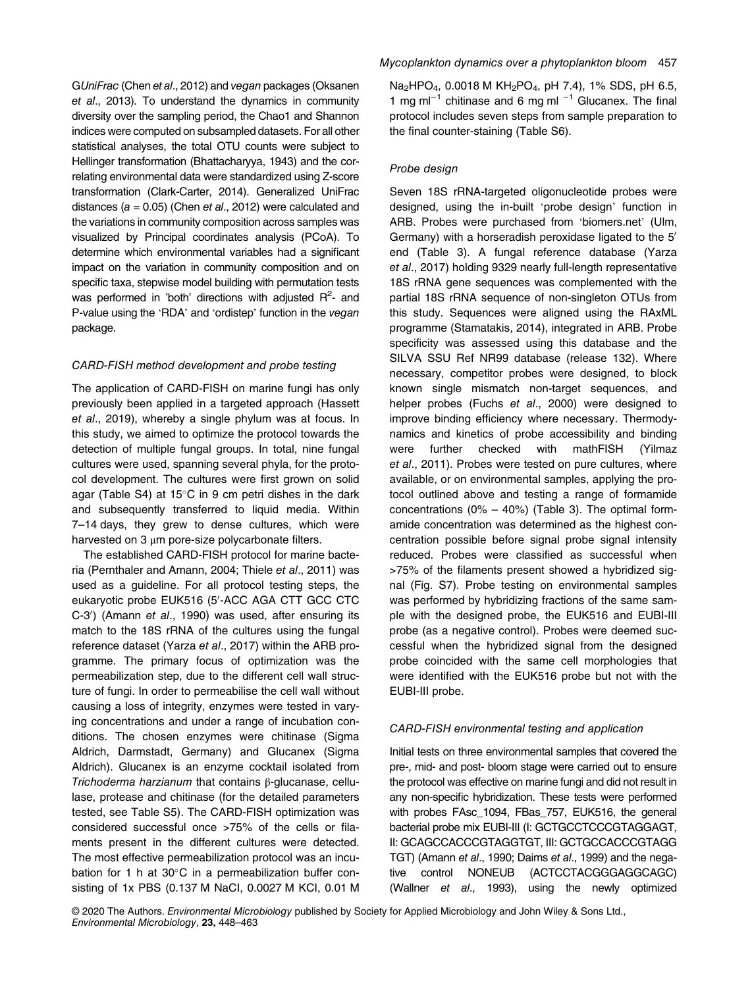GUniFrac (Chen et al., 2012) and vegan packages (Oksanen et al., 2013). To understand the dynamics in community diversity over the sampling period, the Chao1 and Shannon indices were computed on subsampled datasets. For all other statistical analyses, the total OTU counts were subject to Hellinger transformation (Bhattacharyya, 1943) and the correlating environmental data were standardized using Z-score transformation (Clark-Carter, 2014). Generalized UniFrac distances ( $a = 0.05$ ) (Chen et al., 2012) were calculated and the variations in community composition across samples was visualized by Principal coordinates analysis (PCoA). To determine which environmental variables had a significant impact on the variation in community composition and on specific taxa, stepwise model building with permutation tests was performed in 'both' directions with adjusted  $R^2$ - and P-value using the 'RDA' and 'ordistep' function in the vegan package.

# CARD-FISH method development and probe testing

The application of CARD-FISH on marine fungi has only previously been applied in a targeted approach (Hassett et al., 2019), whereby a single phylum was at focus. In this study, we aimed to optimize the protocol towards the detection of multiple fungal groups. In total, nine fungal cultures were used, spanning several phyla, for the protocol development. The cultures were first grown on solid agar (Table S4) at  $15^{\circ}$ C in 9 cm petri dishes in the dark and subsequently transferred to liquid media. Within 7–14 days, they grew to dense cultures, which were harvested on 3 μm pore-size polycarbonate filters.

The established CARD-FISH protocol for marine bacteria (Pernthaler and Amann, 2004; Thiele et al., 2011) was used as a guideline. For all protocol testing steps, the eukaryotic probe EUK516 (5'-ACC AGA CTT GCC CTC C-3') (Amann et al., 1990) was used, after ensuring its match to the 18S rRNA of the cultures using the fungal reference dataset (Yarza et al., 2017) within the ARB programme. The primary focus of optimization was the permeabilization step, due to the different cell wall structure of fungi. In order to permeabilise the cell wall without causing a loss of integrity, enzymes were tested in varying concentrations and under a range of incubation conditions. The chosen enzymes were chitinase (Sigma Aldrich, Darmstadt, Germany) and Glucanex (Sigma Aldrich). Glucanex is an enzyme cocktail isolated from Trichoderma harzianum that contains β-glucanase, cellulase, protease and chitinase (for the detailed parameters tested, see Table S5). The CARD-FISH optimization was considered successful once >75% of the cells or filaments present in the different cultures were detected. The most effective permeabilization protocol was an incubation for 1 h at  $30^{\circ}$ C in a permeabilization buffer consisting of 1x PBS (0.137 M NaCI, 0.0027 M KCI, 0.01 M

Na<sub>2</sub>HPO<sub>4</sub>, 0.0018 M KH<sub>2</sub>PO<sub>4</sub>, pH 7.4), 1% SDS, pH 6.5, 1 mg ml−<sup>1</sup> chitinase and 6 mg ml <sup>−</sup><sup>1</sup> Glucanex. The final protocol includes seven steps from sample preparation to the final counter-staining (Table S6).

#### Probe design

Seven 18S rRNA-targeted oligonucleotide probes were designed, using the in-built 'probe design' function in ARB. Probes were purchased from '[biomers.net](http://biomers.net)' (Ulm, Germany) with a horseradish peroxidase ligated to the 5' end (Table 3). A fungal reference database (Yarza et al., 2017) holding 9329 nearly full-length representative 18S rRNA gene sequences was complemented with the partial 18S rRNA sequence of non-singleton OTUs from this study. Sequences were aligned using the RAxML programme (Stamatakis, 2014), integrated in ARB. Probe specificity was assessed using this database and the SILVA SSU Ref NR99 database (release 132). Where necessary, competitor probes were designed, to block known single mismatch non-target sequences, and helper probes (Fuchs et al., 2000) were designed to improve binding efficiency where necessary. Thermodynamics and kinetics of probe accessibility and binding were further checked with mathFISH (Yilmaz et al., 2011). Probes were tested on pure cultures, where available, or on environmental samples, applying the protocol outlined above and testing a range of formamide concentrations  $(0\% - 40\%)$  (Table 3). The optimal formamide concentration was determined as the highest concentration possible before signal probe signal intensity reduced. Probes were classified as successful when >75% of the filaments present showed a hybridized signal (Fig. S7). Probe testing on environmental samples was performed by hybridizing fractions of the same sample with the designed probe, the EUK516 and EUBI-III probe (as a negative control). Probes were deemed successful when the hybridized signal from the designed probe coincided with the same cell morphologies that were identified with the EUK516 probe but not with the EUBI-III probe.

#### CARD-FISH environmental testing and application

Initial tests on three environmental samples that covered the pre-, mid- and post- bloom stage were carried out to ensure the protocol was effective on marine fungi and did not result in any non-specific hybridization. These tests were performed with probes FAsc 1094, FBas 757, EUK516, the general bacterial probe mix EUBI-III (I: GCTGCCTCCCGTAGGAGT, II: GCAGCCACCCGTAGGTGT, III: GCTGCCACCCGTAGG TGT) (Amann et al., 1990; Daims et al., 1999) and the negative control NONEUB (ACTCCTACGGGAGGCAGC) (Wallner et al., 1993), using the newly optimized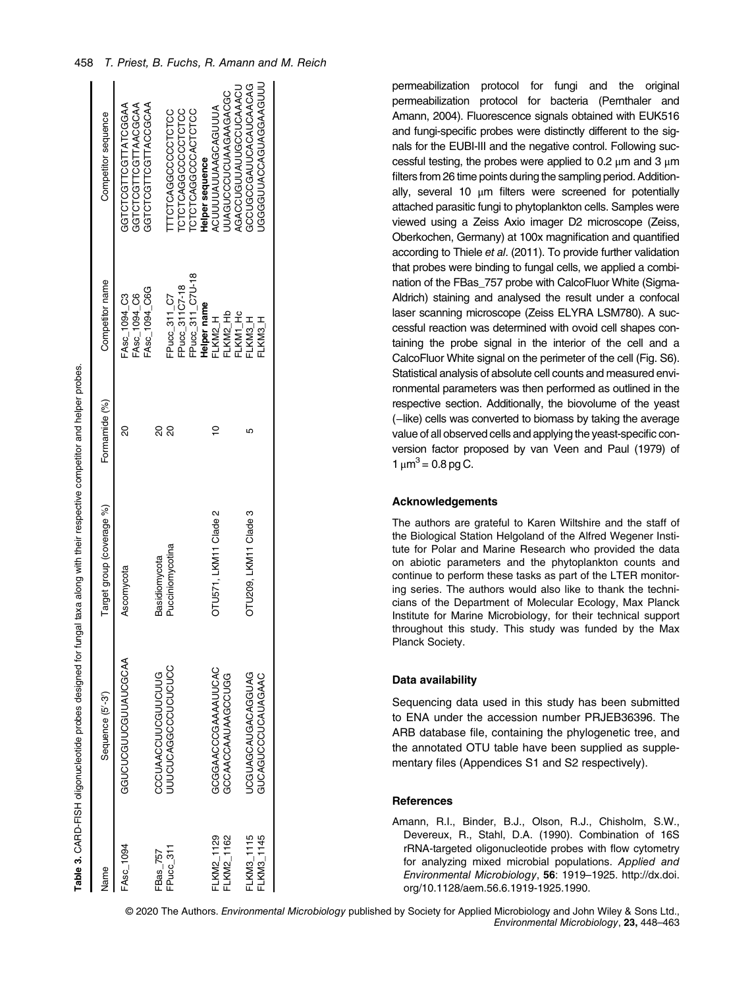|            | Table 3. CARD-FISH oligonucleotide probes designed for fungal taxa along with their respective competitor and helper probes. |                           |               |                              |                                           |
|------------|------------------------------------------------------------------------------------------------------------------------------|---------------------------|---------------|------------------------------|-------------------------------------------|
| Name       | Sequence (5'-3')                                                                                                             | Target group (coverage %) | Formamide (%) | Competitor name              | Competitor sequence                       |
| FAsc 1094  | <b>GGUCUCOUDOUNUACAA</b>                                                                                                     | Ascomycota                | 20            | FAsc 1094 C6<br>FAsc 1094 C3 | GGUCTCGTTSOLOGGAA<br>GGTCTCGTTCGTTAACGCAA |
| FBas 757   | CCCUAACCUUCGUUCUUG                                                                                                           | Basidiomycota             | 20            | FASC 1094 C6G                | ACCOONNICOLOGICA                          |
| FPucc 311  | JUUCUCAGGCCCUCUCUCC                                                                                                          | Pucciniomycotina          | 20            | FPucc_311_C7                 | TTCTCAGGCCCTCTCC                          |
|            |                                                                                                                              |                           |               | FPucc_311C7-18               | CTCTCAGGCCCCTCTCC                         |
|            |                                                                                                                              |                           |               | FPucc_311_C7U-18             | CTCTCAGGCCACTCTCC                         |
|            |                                                                                                                              |                           |               | Helper name                  | Helper sequence                           |
| FLKM2_1129 | GGGAACCOAAAAUUCAC                                                                                                            | OTU571, LKM11 Clade 2     |               | FLKM2_H                      | ACUUUUAUUAAGCAGUUUA                       |
| FLKM2_1162 | GCCAACCAAUAAGCUGG                                                                                                            |                           |               | FLKM2_Hb                     | JUAGUCCCUCUAAGAAGACGC                     |
|            |                                                                                                                              |                           |               | <b>LKM1_Hc</b>               | AGACCUGUUAUUGCCUCAAACL                    |
| FLKM3_1115 | JCGUAGCAUGACAGUAG                                                                                                            | OTU209, LKM11 Clade 3     | ι٥            | H SNN3-                      | GCUGCCGAUUCAUCAACAG                       |
| FLKM3_1145 | GUCAGUCCUCAUAGAAC                                                                                                            |                           |               | LKM3_H                       | JGGGGUUACCAGUAGGAAGUUU                    |
|            |                                                                                                                              |                           |               |                              |                                           |

permeabilization protocol for fungi and the original permeabilization protocol for bacteria (Pernthaler and Amann, 2004). Fluorescence signals obtained with EUK516 and fungi-specific probes were distinctly different to the signals for the EUBI-III and the negative control. Following successful testing, the probes were applied to 0.2 μm and 3 μm filters from 26 time points during the sampling period. Additionally, several 10 μm filters were screened for potentially attached parasitic fungi to phytoplankton cells. Samples were viewed using a Zeiss Axio imager D2 microscope (Zeiss, Oberkochen, Germany) at 100x magnification and quantified according to Thiele et al. (2011). To provide further validation that probes were binding to fungal cells, we applied a combination of the FBas\_757 probe with CalcoFluor White (Sigma-Aldrich) staining and analysed the result under a confocal laser scanning microscope (Zeiss ELYRA LSM780). A successful reaction was determined with ovoid cell shapes containing the probe signal in the interior of the cell and a CalcoFluor White signal on the perimeter of the cell (Fig. S6). Statistical analysis of absolute cell counts and measured environmental parameters was then performed as outlined in the respective section. Additionally, the biovolume of the yeast (−like) cells was converted to biomass by taking the average value of all observed cells and applying the yeast-specific conversion factor proposed by van Veen and Paul (1979) of  $1 \mu m^3 = 0.8$  pg C.

# Acknowledgements

The authors are grateful to Karen Wiltshire and the staff of the Biological Station Helgoland of the Alfred Wegener Institute for Polar and Marine Research who provided the data on abiotic parameters and the phytoplankton counts and continue to perform these tasks as part of the LTER monitoring series. The authors would also like to thank the technicians of the Department of Molecular Ecology, Max Planck Institute for Marine Microbiology, for their technical support throughout this study. This study was funded by the Max Planck Society.

#### Data availability

Sequencing data used in this study has been submitted to ENA under the accession number PRJEB36396. The ARB database file, containing the phylogenetic tree, and the annotated OTU table have been supplied as supplementary files (Appendices S1 and S2 respectively).

# References

Amann, R.I., Binder, B.J., Olson, R.J., Chisholm, S.W., Devereux, R., Stahl, D.A. (1990). Combination of 16S rRNA-targeted oligonucleotide probes with flow cytometry for analyzing mixed microbial populations. Applied and Environmental Microbiology, 56: 1919–1925. [http://dx.doi.](http://dx.doi.org/10.1128/aem.56.6.1919-1925.1990) [org/10.1128/aem.56.6.1919-1925.1990.](http://dx.doi.org/10.1128/aem.56.6.1919-1925.1990)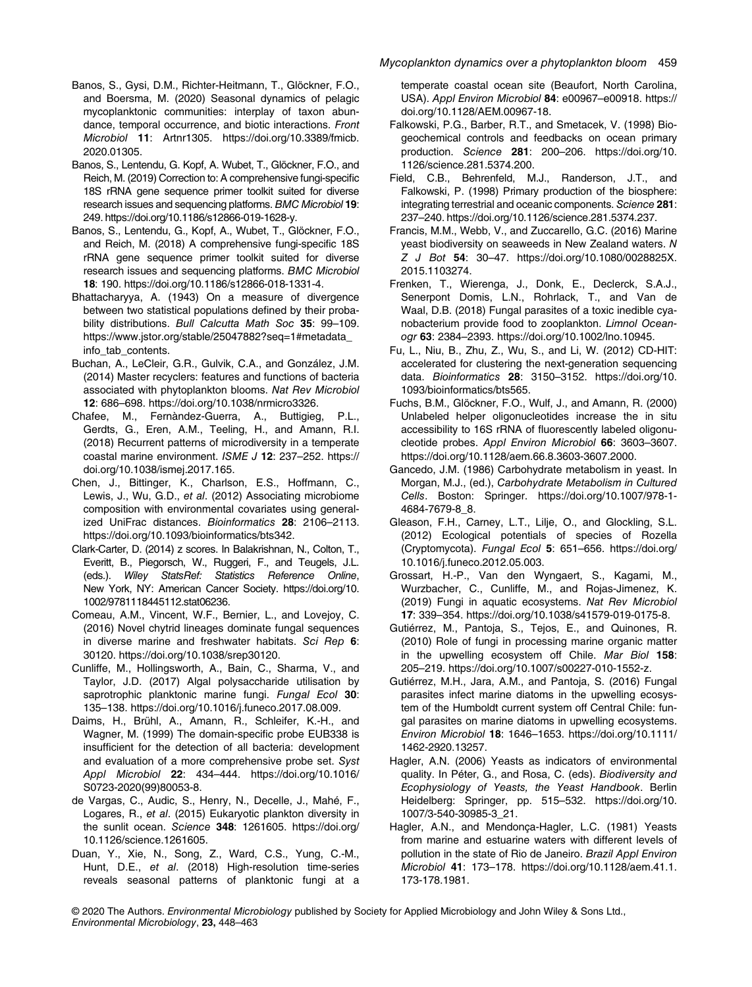- Banos, S., Gysi, D.M., Richter-Heitmann, T., Glöckner, F.O., and Boersma, M. (2020) Seasonal dynamics of pelagic mycoplanktonic communities: interplay of taxon abundance, temporal occurrence, and biotic interactions. Front Microbiol 11: Artnr1305. [https://doi.org/10.3389/fmicb.](https://doi.org/10.3389/fmicb.2020.01305) [2020.01305](https://doi.org/10.3389/fmicb.2020.01305).
- Banos, S., Lentendu, G. Kopf, A. Wubet, T., Glöckner, F.O., and Reich, M. (2019) Correction to: A comprehensive fungi-specific 18S rRNA gene sequence primer toolkit suited for diverse research issues and sequencing platforms. BMC Microbiol 19: 249. https://doi.org/10.1186/s12866-019-1628-y.
- Banos, S., Lentendu, G., Kopf, A., Wubet, T., Glöckner, F.O., and Reich, M. (2018) A comprehensive fungi-specific 18S rRNA gene sequence primer toolkit suited for diverse research issues and sequencing platforms. BMC Microbiol 18: 190.<https://doi.org/10.1186/s12866-018-1331-4>.
- Bhattacharyya, A. (1943) On a measure of divergence between two statistical populations defined by their probability distributions. Bull Calcutta Math Soc 35: 99-109. [https://www.jstor.org/stable/25047882?seq=1#metadata\\_](https://www.jstor.org/stable/25047882?seq=1#metadata_info_tab_contents) [info\\_tab\\_contents](https://www.jstor.org/stable/25047882?seq=1#metadata_info_tab_contents).
- Buchan, A., LeCleir, G.R., Gulvik, C.A., and González, J.M. (2014) Master recyclers: features and functions of bacteria associated with phytoplankton blooms. Nat Rev Microbiol 12: 686–698.<https://doi.org/10.1038/nrmicro3326>.
- Chafee, M., Fernàndez-Guerra, A., Buttigieg, P.L., Gerdts, G., Eren, A.M., Teeling, H., and Amann, R.I. (2018) Recurrent patterns of microdiversity in a temperate coastal marine environment. ISME J 12: 237–252. [https://](https://doi.org/10.1038/ismej.2017.165) [doi.org/10.1038/ismej.2017.165.](https://doi.org/10.1038/ismej.2017.165)
- Chen, J., Bittinger, K., Charlson, E.S., Hoffmann, C., Lewis, J., Wu, G.D., et al. (2012) Associating microbiome composition with environmental covariates using generalized UniFrac distances. Bioinformatics 28: 2106–2113. <https://doi.org/10.1093/bioinformatics/bts342>.
- Clark-Carter, D. (2014) z scores. In Balakrishnan, N., Colton, T., Everitt, B., Piegorsch, W., Ruggeri, F., and Teugels, J.L. (eds.). Wiley StatsRef: Statistics Reference Online, New York, NY: American Cancer Society. [https://doi.org/10.](https://doi.org/10.1002/9781118445112.stat06236) [1002/9781118445112.stat06236](https://doi.org/10.1002/9781118445112.stat06236).
- Comeau, A.M., Vincent, W.F., Bernier, L., and Lovejoy, C. (2016) Novel chytrid lineages dominate fungal sequences in diverse marine and freshwater habitats. Sci Rep 6: 30120. [https://doi.org/10.1038/srep30120.](https://doi.org/10.1038/srep30120)
- Cunliffe, M., Hollingsworth, A., Bain, C., Sharma, V., and Taylor, J.D. (2017) Algal polysaccharide utilisation by saprotrophic planktonic marine fungi. Fungal Ecol 30: 135–138. [https://doi.org/10.1016/j.funeco.2017.08.009.](https://doi.org/10.1016/j.funeco.2017.08.009)
- Daims, H., Brühl, A., Amann, R., Schleifer, K.-H., and Wagner, M. (1999) The domain-specific probe EUB338 is insufficient for the detection of all bacteria: development and evaluation of a more comprehensive probe set. Syst Appl Microbiol 22: 434–444. [https://doi.org/10.1016/](https://doi.org/10.1016/S0723-2020(99)80053-8) [S0723-2020\(99\)80053-8.](https://doi.org/10.1016/S0723-2020(99)80053-8)
- de Vargas, C., Audic, S., Henry, N., Decelle, J., Mahé, F., Logares, R., et al. (2015) Eukaryotic plankton diversity in the sunlit ocean. Science 348: 1261605. [https://doi.org/](https://doi.org/10.1126/science.1261605) [10.1126/science.1261605.](https://doi.org/10.1126/science.1261605)
- Duan, Y., Xie, N., Song, Z., Ward, C.S., Yung, C.-M., Hunt, D.E., et al. (2018) High-resolution time-series reveals seasonal patterns of planktonic fungi at a

temperate coastal ocean site (Beaufort, North Carolina, USA). Appl Environ Microbiol 84: e00967–e00918. [https://](https://doi.org/10.1128/AEM.00967-18) [doi.org/10.1128/AEM.00967-18.](https://doi.org/10.1128/AEM.00967-18)

- Falkowski, P.G., Barber, R.T., and Smetacek, V. (1998) Biogeochemical controls and feedbacks on ocean primary production. Science 281: 200–206. [https://doi.org/10.](https://doi.org/10.1126/science.281.5374.200) [1126/science.281.5374.200](https://doi.org/10.1126/science.281.5374.200).
- Field, C.B., Behrenfeld, M.J., Randerson, J.T., and Falkowski, P. (1998) Primary production of the biosphere: integrating terrestrial and oceanic components. Science 281: 237–240.<https://doi.org/10.1126/science.281.5374.237>.
- Francis, M.M., Webb, V., and Zuccarello, G.C. (2016) Marine yeast biodiversity on seaweeds in New Zealand waters. N Z J Bot 54: 30–47. [https://doi.org/10.1080/0028825X.](https://doi.org/10.1080/0028825X.2015.1103274) [2015.1103274.](https://doi.org/10.1080/0028825X.2015.1103274)
- Frenken, T., Wierenga, J., Donk, E., Declerck, S.A.J., Senerpont Domis, L.N., Rohrlack, T., and Van de Waal, D.B. (2018) Fungal parasites of a toxic inedible cyanobacterium provide food to zooplankton. Limnol Oceanogr 63: 2384–2393. [https://doi.org/10.1002/lno.10945.](https://doi.org/10.1002/lno.10945)
- Fu, L., Niu, B., Zhu, Z., Wu, S., and Li, W. (2012) CD-HIT: accelerated for clustering the next-generation sequencing data. Bioinformatics 28: 3150–3152. [https://doi.org/10.](https://doi.org/10.1093/bioinformatics/bts565) [1093/bioinformatics/bts565](https://doi.org/10.1093/bioinformatics/bts565).
- Fuchs, B.M., Glöckner, F.O., Wulf, J., and Amann, R. (2000) Unlabeled helper oligonucleotides increase the in situ accessibility to 16S rRNA of fluorescently labeled oligonucleotide probes. Appl Environ Microbiol 66: 3603–3607. <https://doi.org/10.1128/aem.66.8.3603-3607.2000>.
- Gancedo, J.M. (1986) Carbohydrate metabolism in yeast. In Morgan, M.J., (ed.), Carbohydrate Metabolism in Cultured Cells. Boston: Springer. [https://doi.org/10.1007/978-1-](https://doi.org/10.1007/978-1-4684-7679-8_8) [4684-7679-8\\_8.](https://doi.org/10.1007/978-1-4684-7679-8_8)
- Gleason, F.H., Carney, L.T., Lilje, O., and Glockling, S.L. (2012) Ecological potentials of species of Rozella (Cryptomycota). Fungal Ecol 5: 651–656. [https://doi.org/](https://doi.org/10.1016/j.funeco.2012.05.003) [10.1016/j.funeco.2012.05.003.](https://doi.org/10.1016/j.funeco.2012.05.003)
- Grossart, H.-P., Van den Wyngaert, S., Kagami, M., Wurzbacher, C., Cunliffe, M., and Rojas-Jimenez, K. (2019) Fungi in aquatic ecosystems. Nat Rev Microbiol 17: 339–354. [https://doi.org/10.1038/s41579-019-0175-8.](https://doi.org/10.1038/s41579-019-0175-8)
- Gutiérrez, M., Pantoja, S., Tejos, E., and Quinones, R. (2010) Role of fungi in processing marine organic matter in the upwelling ecosystem off Chile. Mar Biol 158: 205–219.<https://doi.org/10.1007/s00227-010-1552-z>.
- Gutiérrez, M.H., Jara, A.M., and Pantoja, S. (2016) Fungal parasites infect marine diatoms in the upwelling ecosystem of the Humboldt current system off Central Chile: fungal parasites on marine diatoms in upwelling ecosystems. Environ Microbiol 18: 1646–1653. [https://doi.org/10.1111/](https://doi.org/10.1111/1462-2920.13257) [1462-2920.13257.](https://doi.org/10.1111/1462-2920.13257)
- Hagler, A.N. (2006) Yeasts as indicators of environmental quality. In Péter, G., and Rosa, C. (eds). Biodiversity and Ecophysiology of Yeasts, the Yeast Handbook. Berlin Heidelberg: Springer, pp. 515–532. [https://doi.org/10.](https://doi.org/10.1007/3-540-30985-3_21) [1007/3-540-30985-3\\_21.](https://doi.org/10.1007/3-540-30985-3_21)
- Hagler, A.N., and Mendonça-Hagler, L.C. (1981) Yeasts from marine and estuarine waters with different levels of pollution in the state of Rio de Janeiro. Brazil Appl Environ Microbiol 41: 173–178. [https://doi.org/10.1128/aem.41.1.](https://doi.org/10.1128/aem.41.1.173-178.1981) [173-178.1981.](https://doi.org/10.1128/aem.41.1.173-178.1981)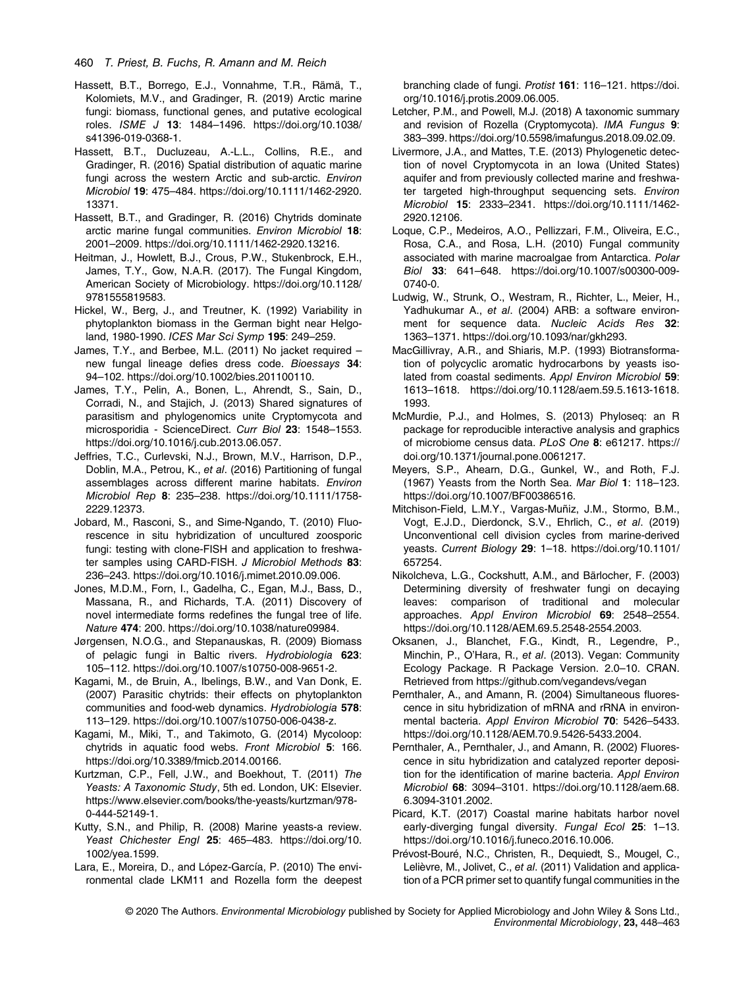- Hassett, B.T., Borrego, E.J., Vonnahme, T.R., Rämä, T., Kolomiets, M.V., and Gradinger, R. (2019) Arctic marine fungi: biomass, functional genes, and putative ecological roles. ISME J 13: 1484–1496. [https://doi.org/10.1038/](https://doi.org/10.1038/s41396-019-0368-1) [s41396-019-0368-1](https://doi.org/10.1038/s41396-019-0368-1).
- Hassett, B.T., Ducluzeau, A.-L.L., Collins, R.E., and Gradinger, R. (2016) Spatial distribution of aquatic marine fungi across the western Arctic and sub-arctic. Environ Microbiol 19: 475–484. [https://doi.org/10.1111/1462-2920.](https://doi.org/10.1111/1462-2920.13371) [13371](https://doi.org/10.1111/1462-2920.13371).
- Hassett, B.T., and Gradinger, R. (2016) Chytrids dominate arctic marine fungal communities. Environ Microbiol 18: 2001–2009. [https://doi.org/10.1111/1462-2920.13216.](https://doi.org/10.1111/1462-2920.13216)
- Heitman, J., Howlett, B.J., Crous, P.W., Stukenbrock, E.H., James, T.Y., Gow, N.A.R. (2017). The Fungal Kingdom, American Society of Microbiology. [https://doi.org/10.1128/](https://doi.org/10.1128/9781555819583) [9781555819583.](https://doi.org/10.1128/9781555819583)
- Hickel, W., Berg, J., and Treutner, K. (1992) Variability in phytoplankton biomass in the German bight near Helgoland, 1980-1990. ICES Mar Sci Symp 195: 249–259.
- James, T.Y., and Berbee, M.L. (2011) No jacket required new fungal lineage defies dress code. Bioessays 34: 94–102. [https://doi.org/10.1002/bies.201100110.](https://doi.org/10.1002/bies.201100110)
- James, T.Y., Pelin, A., Bonen, L., Ahrendt, S., Sain, D., Corradi, N., and Stajich, J. (2013) Shared signatures of parasitism and phylogenomics unite Cryptomycota and microsporidia - ScienceDirect. Curr Biol 23: 1548–1553. [https://doi.org/10.1016/j.cub.2013.06.057.](https://doi.org/10.1016/j.cub.2013.06.057)
- Jeffries, T.C., Curlevski, N.J., Brown, M.V., Harrison, D.P., Doblin, M.A., Petrou, K., et al. (2016) Partitioning of fungal assemblages across different marine habitats. Environ Microbiol Rep 8: 235–238. [https://doi.org/10.1111/1758-](https://doi.org/10.1111/1758-2229.12373) [2229.12373.](https://doi.org/10.1111/1758-2229.12373)
- Jobard, M., Rasconi, S., and Sime-Ngando, T. (2010) Fluorescence in situ hybridization of uncultured zoosporic fungi: testing with clone-FISH and application to freshwater samples using CARD-FISH. J Microbiol Methods 83: 236–243. [https://doi.org/10.1016/j.mimet.2010.09.006.](https://doi.org/10.1016/j.mimet.2010.09.006)
- Jones, M.D.M., Forn, I., Gadelha, C., Egan, M.J., Bass, D., Massana, R., and Richards, T.A. (2011) Discovery of novel intermediate forms redefines the fungal tree of life. Nature 474: 200. [https://doi.org/10.1038/nature09984.](https://doi.org/10.1038/nature09984)
- Jørgensen, N.O.G., and Stepanauskas, R. (2009) Biomass of pelagic fungi in Baltic rivers. Hydrobiologia 623: 105–112. [https://doi.org/10.1007/s10750-008-9651-2.](https://doi.org/10.1007/s10750-008-9651-2)
- Kagami, M., de Bruin, A., Ibelings, B.W., and Van Donk, E. (2007) Parasitic chytrids: their effects on phytoplankton communities and food-web dynamics. Hydrobiologia 578: 113–129.<https://doi.org/10.1007/s10750-006-0438-z>.
- Kagami, M., Miki, T., and Takimoto, G. (2014) Mycoloop: chytrids in aquatic food webs. Front Microbiol 5: 166. [https://doi.org/10.3389/fmicb.2014.00166.](https://doi.org/10.3389/fmicb.2014.00166)
- Kurtzman, C.P., Fell, J.W., and Boekhout, T. (2011) The Yeasts: A Taxonomic Study, 5th ed. London, UK: Elsevier. [https://www.elsevier.com/books/the-yeasts/kurtzman/978-](https://www.elsevier.com/books/the-yeasts/kurtzman/978-0-444-52149-1) [0-444-52149-1](https://www.elsevier.com/books/the-yeasts/kurtzman/978-0-444-52149-1).
- Kutty, S.N., and Philip, R. (2008) Marine yeasts-a review. Yeast Chichester Engl 25: 465–483. [https://doi.org/10.](https://doi.org/10.1002/yea.1599) [1002/yea.1599.](https://doi.org/10.1002/yea.1599)
- Lara, E., Moreira, D., and López-García, P. (2010) The environmental clade LKM11 and Rozella form the deepest

branching clade of fungi. Protist 161: 116–121. [https://doi.](https://doi.org/10.1016/j.protis.2009.06.005) [org/10.1016/j.protis.2009.06.005.](https://doi.org/10.1016/j.protis.2009.06.005)

- Letcher, P.M., and Powell, M.J. (2018) A taxonomic summary and revision of Rozella (Cryptomycota). IMA Fungus 9: 383–399. [https://doi.org/10.5598/imafungus.2018.09.02.09.](https://doi.org/10.5598/imafungus.2018.09.02.09)
- Livermore, J.A., and Mattes, T.E. (2013) Phylogenetic detection of novel Cryptomycota in an Iowa (United States) aquifer and from previously collected marine and freshwater targeted high-throughput sequencing sets. Environ Microbiol 15: 2333–2341. [https://doi.org/10.1111/1462-](https://doi.org/10.1111/1462-2920.12106) [2920.12106](https://doi.org/10.1111/1462-2920.12106).
- Loque, C.P., Medeiros, A.O., Pellizzari, F.M., Oliveira, E.C., Rosa, C.A., and Rosa, L.H. (2010) Fungal community associated with marine macroalgae from Antarctica. Polar Biol 33: 641–648. [https://doi.org/10.1007/s00300-009-](https://doi.org/10.1007/s00300-009-0740-0) [0740-0.](https://doi.org/10.1007/s00300-009-0740-0)
- Ludwig, W., Strunk, O., Westram, R., Richter, L., Meier, H., Yadhukumar A., et al. (2004) ARB: a software environment for sequence data. Nucleic Acids Res 32: 1363–1371. [https://doi.org/10.1093/nar/gkh293.](https://doi.org/10.1093/nar/gkh293)
- MacGillivray, A.R., and Shiaris, M.P. (1993) Biotransformation of polycyclic aromatic hydrocarbons by yeasts isolated from coastal sediments. Appl Environ Microbiol 59: 1613–1618. [https://doi.org/10.1128/aem.59.5.1613-1618.](https://doi.org/10.1128/aem.59.5.1613-1618.1993) [1993](https://doi.org/10.1128/aem.59.5.1613-1618.1993).
- McMurdie, P.J., and Holmes, S. (2013) Phyloseq: an R package for reproducible interactive analysis and graphics of microbiome census data. PLoS One 8: e61217. [https://](https://doi.org/10.1371/journal.pone.0061217) [doi.org/10.1371/journal.pone.0061217.](https://doi.org/10.1371/journal.pone.0061217)
- Meyers, S.P., Ahearn, D.G., Gunkel, W., and Roth, F.J. (1967) Yeasts from the North Sea. Mar Biol 1: 118–123. [https://doi.org/10.1007/BF00386516.](https://doi.org/10.1007/BF00386516)
- Mitchison-Field, L.M.Y., Vargas-Muñiz, J.M., Stormo, B.M., Vogt, E.J.D., Dierdonck, S.V., Ehrlich, C., et al. (2019) Unconventional cell division cycles from marine-derived yeasts. Current Biology 29: 1–18. [https://doi.org/10.1101/](https://doi.org/10.1101/657254) [657254.](https://doi.org/10.1101/657254)
- Nikolcheva, L.G., Cockshutt, A.M., and Bärlocher, F. (2003) Determining diversity of freshwater fungi on decaying leaves: comparison of traditional and molecular approaches. Appl Environ Microbiol 69: 2548–2554. <https://doi.org/10.1128/AEM.69.5.2548-2554.2003>.
- Oksanen, J., Blanchet, F.G., Kindt, R., Legendre, P., Minchin, P., O'Hara, R., et al. (2013). Vegan: Community Ecology Package. R Package Version. 2.0–10. CRAN. Retrieved from<https://github.com/vegandevs/vegan>
- Pernthaler, A., and Amann, R. (2004) Simultaneous fluorescence in situ hybridization of mRNA and rRNA in environmental bacteria. Appl Environ Microbiol 70: 5426–5433. <https://doi.org/10.1128/AEM.70.9.5426-5433.2004>.
- Pernthaler, A., Pernthaler, J., and Amann, R. (2002) Fluorescence in situ hybridization and catalyzed reporter deposition for the identification of marine bacteria. Appl Environ Microbiol 68: 3094–3101. [https://doi.org/10.1128/aem.68.](https://doi.org/10.1128/aem.68.6.3094-3101.2002) [6.3094-3101.2002.](https://doi.org/10.1128/aem.68.6.3094-3101.2002)
- Picard, K.T. (2017) Coastal marine habitats harbor novel early-diverging fungal diversity. Fungal Ecol 25: 1-13. <https://doi.org/10.1016/j.funeco.2016.10.006>.
- Prévost-Bouré, N.C., Christen, R., Dequiedt, S., Mougel, C., Lelièvre, M., Jolivet, C., et al. (2011) Validation and application of a PCR primer set to quantify fungal communities in the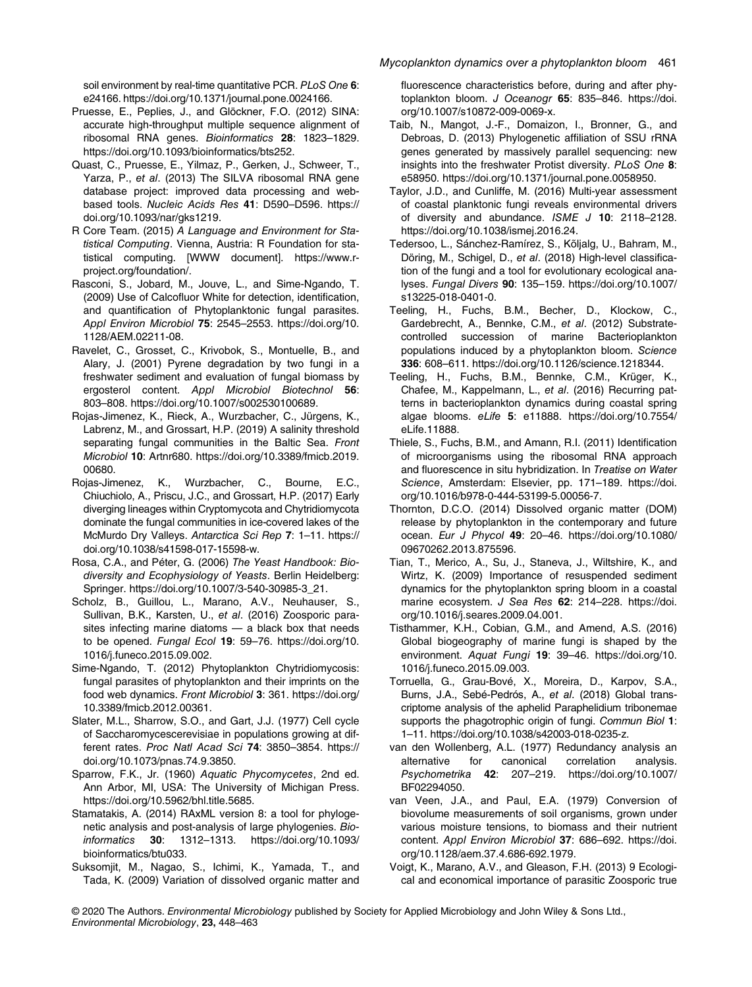soil environment by real-time quantitative PCR. PLoS One 6: e24166.<https://doi.org/10.1371/journal.pone.0024166>.

- Pruesse, E., Peplies, J., and Glöckner, F.O. (2012) SINA: accurate high-throughput multiple sequence alignment of ribosomal RNA genes. Bioinformatics 28: 1823–1829. <https://doi.org/10.1093/bioinformatics/bts252>.
- Quast, C., Pruesse, E., Yilmaz, P., Gerken, J., Schweer, T., Yarza, P., et al. (2013) The SILVA ribosomal RNA gene database project: improved data processing and webbased tools. Nucleic Acids Res 41: D590–D596. [https://](https://doi.org/10.1093/nar/gks1219) [doi.org/10.1093/nar/gks1219](https://doi.org/10.1093/nar/gks1219).
- R Core Team. (2015) A Language and Environment for Statistical Computing. Vienna, Austria: R Foundation for statistical computing. [WWW document]. [https://www.r](https://www.r-project.org/foundation/)[project.org/foundation/.](https://www.r-project.org/foundation/)
- Rasconi, S., Jobard, M., Jouve, L., and Sime-Ngando, T. (2009) Use of Calcofluor White for detection, identification, and quantification of Phytoplanktonic fungal parasites. Appl Environ Microbiol 75: 2545–2553. [https://doi.org/10.](https://doi.org/10.1128/AEM.02211-08) [1128/AEM.02211-08](https://doi.org/10.1128/AEM.02211-08).
- Ravelet, C., Grosset, C., Krivobok, S., Montuelle, B., and Alary, J. (2001) Pyrene degradation by two fungi in a freshwater sediment and evaluation of fungal biomass by ergosterol content. Appl Microbiol Biotechnol 56: 803–808. [https://doi.org/10.1007/s002530100689.](https://doi.org/10.1007/s002530100689)
- Rojas-Jimenez, K., Rieck, A., Wurzbacher, C., Jürgens, K., Labrenz, M., and Grossart, H.P. (2019) A salinity threshold separating fungal communities in the Baltic Sea. Front Microbiol 10: Artnr680. [https://doi.org/10.3389/fmicb.2019.](https://doi.org/10.3389/fmicb.2019.00680) [00680](https://doi.org/10.3389/fmicb.2019.00680).
- Rojas-Jimenez, K., Wurzbacher, C., Bourne, E.C., Chiuchiolo, A., Priscu, J.C., and Grossart, H.P. (2017) Early diverging lineages within Cryptomycota and Chytridiomycota dominate the fungal communities in ice-covered lakes of the McMurdo Dry Valleys. Antarctica Sci Rep 7: 1–11. [https://](https://doi.org/10.1038/s41598-017-15598-w) [doi.org/10.1038/s41598-017-15598-w](https://doi.org/10.1038/s41598-017-15598-w).
- Rosa, C.A., and Péter, G. (2006) The Yeast Handbook: Biodiversity and Ecophysiology of Yeasts. Berlin Heidelberg: Springer. [https://doi.org/10.1007/3-540-30985-3\\_21.](https://doi.org/10.1007/3-540-30985-3_21)
- Scholz, B., Guillou, L., Marano, A.V., Neuhauser, S., Sullivan, B.K., Karsten, U., et al. (2016) Zoosporic parasites infecting marine diatoms — a black box that needs to be opened. Fungal Ecol 19: 59–76. [https://doi.org/10.](https://doi.org/10.1016/j.funeco.2015.09.002) [1016/j.funeco.2015.09.002.](https://doi.org/10.1016/j.funeco.2015.09.002)
- Sime-Ngando, T. (2012) Phytoplankton Chytridiomycosis: fungal parasites of phytoplankton and their imprints on the food web dynamics. Front Microbiol 3: 361. [https://doi.org/](https://doi.org/10.3389/fmicb.2012.00361) [10.3389/fmicb.2012.00361.](https://doi.org/10.3389/fmicb.2012.00361)
- Slater, M.L., Sharrow, S.O., and Gart, J.J. (1977) Cell cycle of Saccharomycescerevisiae in populations growing at different rates. Proc Natl Acad Sci 74: 3850–3854. [https://](https://doi.org/10.1073/pnas.74.9.3850) [doi.org/10.1073/pnas.74.9.3850.](https://doi.org/10.1073/pnas.74.9.3850)
- Sparrow, F.K., Jr. (1960) Aquatic Phycomycetes, 2nd ed. Ann Arbor, MI, USA: The University of Michigan Press. [https://doi.org/10.5962/bhl.title.5685.](https://doi.org/10.5962/bhl.title.5685)
- Stamatakis, A. (2014) RAxML version 8: a tool for phylogenetic analysis and post-analysis of large phylogenies. Bioinformatics 30: 1312–1313. [https://doi.org/10.1093/](https://doi.org/10.1093/bioinformatics/btu033) [bioinformatics/btu033.](https://doi.org/10.1093/bioinformatics/btu033)
- Suksomjit, M., Nagao, S., Ichimi, K., Yamada, T., and Tada, K. (2009) Variation of dissolved organic matter and

fluorescence characteristics before, during and after phytoplankton bloom. J Oceanogr 65: 835-846. [https://doi.](https://doi.org/10.1007/s10872-009-0069-x) [org/10.1007/s10872-009-0069-x.](https://doi.org/10.1007/s10872-009-0069-x)

- Taib, N., Mangot, J.-F., Domaizon, I., Bronner, G., and Debroas, D. (2013) Phylogenetic affiliation of SSU rRNA genes generated by massively parallel sequencing: new insights into the freshwater Protist diversity. PLoS One 8: e58950. [https://doi.org/10.1371/journal.pone.0058950.](https://doi.org/10.1371/journal.pone.0058950)
- Taylor, J.D., and Cunliffe, M. (2016) Multi-year assessment of coastal planktonic fungi reveals environmental drivers of diversity and abundance. ISME J 10: 2118-2128. [https://doi.org/10.1038/ismej.2016.24.](https://doi.org/10.1038/ismej.2016.24)
- Tedersoo, L., Sánchez-Ramírez, S., Kõljalg, U., Bahram, M., Döring, M., Schigel, D., et al. (2018) High-level classification of the fungi and a tool for evolutionary ecological analyses. Fungal Divers 90: 135–159. [https://doi.org/10.1007/](https://doi.org/10.1007/s13225-018-0401-0) [s13225-018-0401-0](https://doi.org/10.1007/s13225-018-0401-0).
- Teeling, H., Fuchs, B.M., Becher, D., Klockow, C., Gardebrecht, A., Bennke, C.M., et al. (2012) Substratecontrolled succession of marine Bacterioplankton populations induced by a phytoplankton bloom. Science 336: 608–611. [https://doi.org/10.1126/science.1218344.](https://doi.org/10.1126/science.1218344)
- Teeling, H., Fuchs, B.M., Bennke, C.M., Krüger, K., Chafee, M., Kappelmann, L., et al. (2016) Recurring patterns in bacterioplankton dynamics during coastal spring algae blooms. eLife 5: e11888. [https://doi.org/10.7554/](https://doi.org/10.7554/eLife.11888) [eLife.11888.](https://doi.org/10.7554/eLife.11888)
- Thiele, S., Fuchs, B.M., and Amann, R.I. (2011) Identification of microorganisms using the ribosomal RNA approach and fluorescence in situ hybridization. In Treatise on Water Science, Amsterdam: Elsevier, pp. 171–189. [https://doi.](https://doi.org/10.1016/b978-0-444-53199-5.00056-7) [org/10.1016/b978-0-444-53199-5.00056-7.](https://doi.org/10.1016/b978-0-444-53199-5.00056-7)
- Thornton, D.C.O. (2014) Dissolved organic matter (DOM) release by phytoplankton in the contemporary and future ocean. Eur J Phycol 49: 20–46. [https://doi.org/10.1080/](https://doi.org/10.1080/09670262.2013.875596) [09670262.2013.875596.](https://doi.org/10.1080/09670262.2013.875596)
- Tian, T., Merico, A., Su, J., Staneva, J., Wiltshire, K., and Wirtz, K. (2009) Importance of resuspended sediment dynamics for the phytoplankton spring bloom in a coastal marine ecosystem. J Sea Res 62: 214-228. [https://doi.](https://doi.org/10.1016/j.seares.2009.04.001) [org/10.1016/j.seares.2009.04.001](https://doi.org/10.1016/j.seares.2009.04.001).
- Tisthammer, K.H., Cobian, G.M., and Amend, A.S. (2016) Global biogeography of marine fungi is shaped by the environment. Aquat Fungi 19: 39–46. [https://doi.org/10.](https://doi.org/10.1016/j.funeco.2015.09.003) [1016/j.funeco.2015.09.003](https://doi.org/10.1016/j.funeco.2015.09.003).
- Torruella, G., Grau-Bové, X., Moreira, D., Karpov, S.A., Burns, J.A., Sebé-Pedrós, A., et al. (2018) Global transcriptome analysis of the aphelid Paraphelidium tribonemae supports the phagotrophic origin of fungi. Commun Biol 1: 1–11.<https://doi.org/10.1038/s42003-018-0235-z>.
- van den Wollenberg, A.L. (1977) Redundancy analysis an alternative for canonical correlation analysis. Psychometrika 42: 207–219. [https://doi.org/10.1007/](https://doi.org/10.1007/BF02294050) [BF02294050.](https://doi.org/10.1007/BF02294050)
- van Veen, J.A., and Paul, E.A. (1979) Conversion of biovolume measurements of soil organisms, grown under various moisture tensions, to biomass and their nutrient content. Appl Environ Microbiol 37: 686–692. [https://doi.](https://doi.org/10.1128/aem.37.4.686-692.1979) [org/10.1128/aem.37.4.686-692.1979](https://doi.org/10.1128/aem.37.4.686-692.1979).
- Voigt, K., Marano, A.V., and Gleason, F.H. (2013) 9 Ecological and economical importance of parasitic Zoosporic true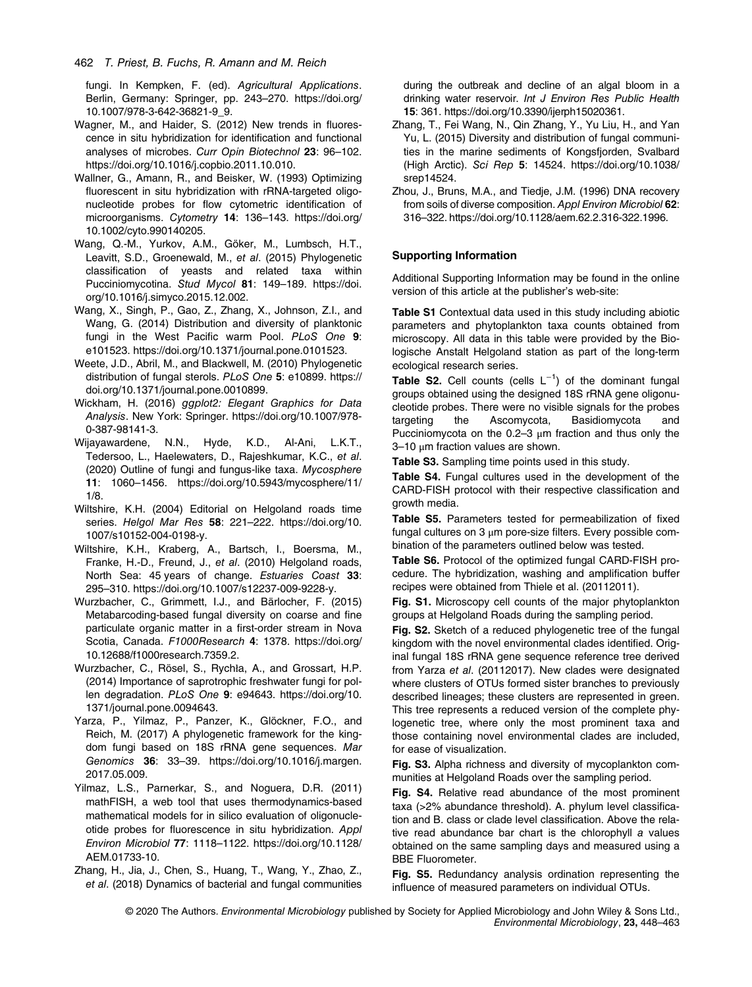fungi. In Kempken, F. (ed). Agricultural Applications. Berlin, Germany: Springer, pp. 243–270. [https://doi.org/](https://doi.org/10.1007/978-3-642-36821-9_9) [10.1007/978-3-642-36821-9\\_9](https://doi.org/10.1007/978-3-642-36821-9_9).

- Wagner, M., and Haider, S. (2012) New trends in fluorescence in situ hybridization for identification and functional analyses of microbes. Curr Opin Biotechnol 23: 96–102. [https://doi.org/10.1016/j.copbio.2011.10.010.](https://doi.org/10.1016/j.copbio.2011.10.010)
- Wallner, G., Amann, R., and Beisker, W. (1993) Optimizing fluorescent in situ hybridization with rRNA-targeted oligonucleotide probes for flow cytometric identification of microorganisms. Cytometry 14: 136–143. [https://doi.org/](https://doi.org/10.1002/cyto.990140205) [10.1002/cyto.990140205.](https://doi.org/10.1002/cyto.990140205)
- Wang, Q.-M., Yurkov, A.M., Göker, M., Lumbsch, H.T., Leavitt, S.D., Groenewald, M., et al. (2015) Phylogenetic classification of yeasts and related taxa within Pucciniomycotina. Stud Mycol 81: 149–189. [https://doi.](https://doi.org/10.1016/j.simyco.2015.12.002) [org/10.1016/j.simyco.2015.12.002.](https://doi.org/10.1016/j.simyco.2015.12.002)
- Wang, X., Singh, P., Gao, Z., Zhang, X., Johnson, Z.I., and Wang, G. (2014) Distribution and diversity of planktonic fungi in the West Pacific warm Pool. PLoS One 9: e101523. [https://doi.org/10.1371/journal.pone.0101523.](https://doi.org/10.1371/journal.pone.0101523)
- Weete, J.D., Abril, M., and Blackwell, M. (2010) Phylogenetic distribution of fungal sterols. PLoS One 5: e10899. [https://](https://doi.org/10.1371/journal.pone.0010899) [doi.org/10.1371/journal.pone.0010899](https://doi.org/10.1371/journal.pone.0010899).
- Wickham, H. (2016) ggplot2: Elegant Graphics for Data Analysis. New York: Springer. [https://doi.org/10.1007/978-](https://doi.org/10.1007/978-0-387-98141-3) [0-387-98141-3](https://doi.org/10.1007/978-0-387-98141-3).
- Wijayawardene, N.N., Hyde, K.D., Al-Ani, L.K.T., Tedersoo, L., Haelewaters, D., Rajeshkumar, K.C., et al. (2020) Outline of fungi and fungus-like taxa. Mycosphere 11: 1060–1456. [https://doi.org/10.5943/mycosphere/11/](https://doi.org/10.5943/mycosphere/11/1/8) [1/8.](https://doi.org/10.5943/mycosphere/11/1/8)
- Wiltshire, K.H. (2004) Editorial on Helgoland roads time series. Helgol Mar Res 58: 221-222. [https://doi.org/10.](https://doi.org/10.1007/s10152-004-0198-y) [1007/s10152-004-0198-y](https://doi.org/10.1007/s10152-004-0198-y).
- Wiltshire, K.H., Kraberg, A., Bartsch, I., Boersma, M., Franke, H.-D., Freund, J., et al. (2010) Helgoland roads, North Sea: 45 years of change. Estuaries Coast 33: 295–310.<https://doi.org/10.1007/s12237-009-9228-y>.
- Wurzbacher, C., Grimmett, I.J., and Bärlocher, F. (2015) Metabarcoding-based fungal diversity on coarse and fine particulate organic matter in a first-order stream in Nova Scotia, Canada. F1000Research 4: 1378. [https://doi.org/](https://doi.org/10.12688/f1000research.7359.2) [10.12688/f1000research.7359.2](https://doi.org/10.12688/f1000research.7359.2).
- Wurzbacher, C., Rösel, S., Rychła, A., and Grossart, H.P. (2014) Importance of saprotrophic freshwater fungi for pollen degradation. PLoS One 9: e94643. [https://doi.org/10.](https://doi.org/10.1371/journal.pone.0094643) [1371/journal.pone.0094643](https://doi.org/10.1371/journal.pone.0094643).
- Yarza, P., Yilmaz, P., Panzer, K., Glöckner, F.O., and Reich, M. (2017) A phylogenetic framework for the kingdom fungi based on 18S rRNA gene sequences. Mar Genomics 36: 33–39. [https://doi.org/10.1016/j.margen.](https://doi.org/10.1016/j.margen.2017.05.009) [2017.05.009.](https://doi.org/10.1016/j.margen.2017.05.009)
- Yilmaz, L.S., Parnerkar, S., and Noguera, D.R. (2011) mathFISH, a web tool that uses thermodynamics-based mathematical models for in silico evaluation of oligonucleotide probes for fluorescence in situ hybridization. Appl Environ Microbiol 77: 1118–1122. [https://doi.org/10.1128/](https://doi.org/10.1128/AEM.01733-10) [AEM.01733-10](https://doi.org/10.1128/AEM.01733-10).
- Zhang, H., Jia, J., Chen, S., Huang, T., Wang, Y., Zhao, Z., et al. (2018) Dynamics of bacterial and fungal communities

during the outbreak and decline of an algal bloom in a drinking water reservoir. Int J Environ Res Public Health 15: 361. [https://doi.org/10.3390/ijerph15020361.](https://doi.org/10.3390/ijerph15020361)

- Zhang, T., Fei Wang, N., Qin Zhang, Y., Yu Liu, H., and Yan Yu, L. (2015) Diversity and distribution of fungal communities in the marine sediments of Kongsfjorden, Svalbard (High Arctic). Sci Rep 5: 14524. [https://doi.org/10.1038/](https://doi.org/10.1038/srep14524) [srep14524](https://doi.org/10.1038/srep14524).
- Zhou, J., Bruns, M.A., and Tiedje, J.M. (1996) DNA recovery from soils of diverse composition. Appl Environ Microbiol 62: 316–322.<https://doi.org/10.1128/aem.62.2.316-322.1996>.

# Supporting Information

Additional Supporting Information may be found in the online version of this article at the publisher's web-site:

Table S1 Contextual data used in this study including abiotic parameters and phytoplankton taxa counts obtained from microscopy. All data in this table were provided by the Biologische Anstalt Helgoland station as part of the long-term ecological research series.

Table S2. Cell counts (cells  $L^{-1}$ ) of the dominant fungal groups obtained using the designed 18S rRNA gene oligonucleotide probes. There were no visible signals for the probes targeting the Ascomycota, Basidiomycota and Pucciniomycota on the  $0.2-3 \mu m$  fraction and thus only the 3–10 μm fraction values are shown.

Table S3. Sampling time points used in this study.

Table S4. Fungal cultures used in the development of the CARD-FISH protocol with their respective classification and growth media.

Table S5. Parameters tested for permeabilization of fixed fungal cultures on 3 μm pore-size filters. Every possible combination of the parameters outlined below was tested.

Table S6. Protocol of the optimized fungal CARD-FISH procedure. The hybridization, washing and amplification buffer recipes were obtained from Thiele et al. (20112011).

Fig. S1. Microscopy cell counts of the major phytoplankton groups at Helgoland Roads during the sampling period.

Fig. S2. Sketch of a reduced phylogenetic tree of the fungal kingdom with the novel environmental clades identified. Original fungal 18S rRNA gene sequence reference tree derived from Yarza et al. (20112017). New clades were designated where clusters of OTUs formed sister branches to previously described lineages; these clusters are represented in green. This tree represents a reduced version of the complete phylogenetic tree, where only the most prominent taxa and those containing novel environmental clades are included, for ease of visualization.

Fig. S3. Alpha richness and diversity of mycoplankton communities at Helgoland Roads over the sampling period.

Fig. S4. Relative read abundance of the most prominent taxa (>2% abundance threshold). A. phylum level classification and B. class or clade level classification. Above the relative read abundance bar chart is the chlorophyll a values obtained on the same sampling days and measured using a BBE Fluorometer.

Fig. S5. Redundancy analysis ordination representing the influence of measured parameters on individual OTUs.